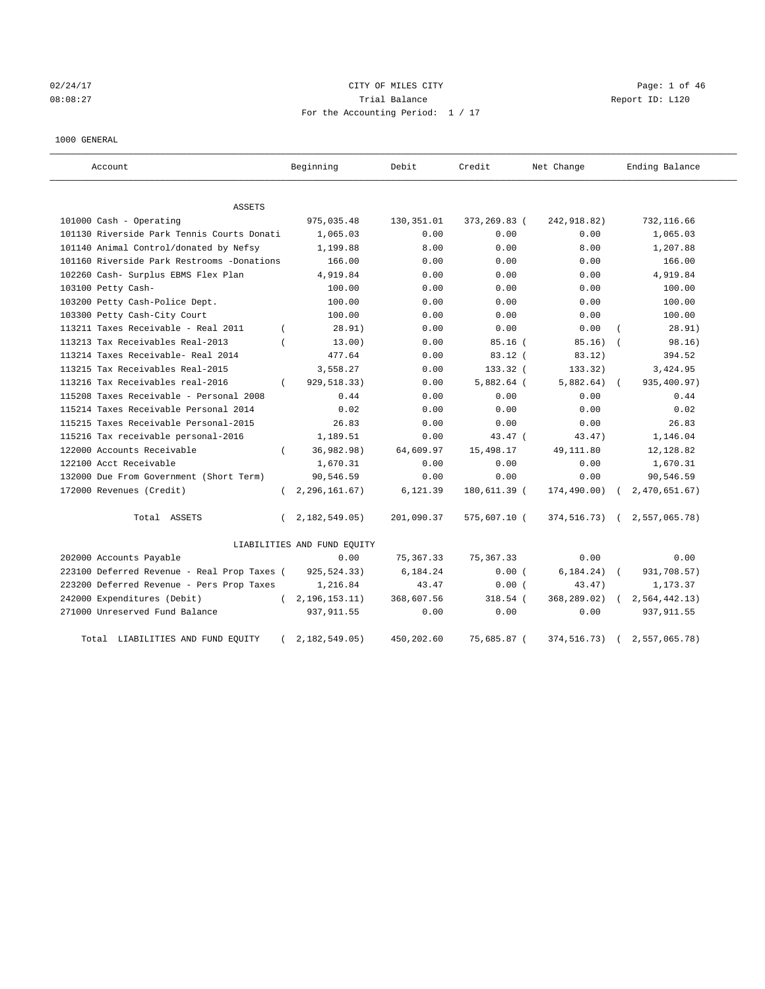# 02/24/17 Page: 1 of 46 08:08:27 Trial Balance Report ID: L120 For the Accounting Period: 1 / 17

#### 1000 GENERAL

| Account                                     |          | Beginning                   | Debit       | Credit       | Net Change    | Ending Balance |
|---------------------------------------------|----------|-----------------------------|-------------|--------------|---------------|----------------|
| <b>ASSETS</b>                               |          |                             |             |              |               |                |
| 101000 Cash - Operating                     |          | 975,035.48                  | 130, 351.01 | 373,269.83 ( | 242, 918.82)  | 732,116.66     |
| 101130 Riverside Park Tennis Courts Donati  |          | 1,065.03                    | 0.00        | 0.00         | 0.00          | 1,065.03       |
| 101140 Animal Control/donated by Nefsy      |          | 1,199.88                    | 8.00        | 0.00         | 8.00          | 1,207.88       |
| 101160 Riverside Park Restrooms -Donations  |          | 166.00                      | 0.00        | 0.00         | 0.00          | 166.00         |
| 102260 Cash- Surplus EBMS Flex Plan         |          | 4,919.84                    | 0.00        | 0.00         | 0.00          | 4,919.84       |
| 103100 Petty Cash-                          |          | 100.00                      | 0.00        | 0.00         | 0.00          | 100.00         |
| 103200 Petty Cash-Police Dept.              |          | 100.00                      | 0.00        | 0.00         | 0.00          | 100.00         |
| 103300 Petty Cash-City Court                |          | 100.00                      | 0.00        | 0.00         | 0.00          | 100.00         |
| 113211 Taxes Receivable - Real 2011         | $\left($ | 28.91)                      | 0.00        | 0.00         | 0.00          | 28.91)         |
| 113213 Tax Receivables Real-2013            |          | 13.00)                      | 0.00        | $85.16$ (    | 85.16)        | 98.16)         |
| 113214 Taxes Receivable- Real 2014          |          | 477.64                      | 0.00        | $83.12$ (    | 83.12)        | 394.52         |
| 113215 Tax Receivables Real-2015            |          | 3,558.27                    | 0.00        | 133.32 (     | 133.32)       | 3,424.95       |
| 113216 Tax Receivables real-2016            | $\left($ | 929,518.33)                 | 0.00        | $5,882.64$ ( | 5,882.64)     | 935,400.97)    |
| 115208 Taxes Receivable - Personal 2008     |          | 0.44                        | 0.00        | 0.00         | 0.00          | 0.44           |
| 115214 Taxes Receivable Personal 2014       |          | 0.02                        | 0.00        | 0.00         | 0.00          | 0.02           |
| 115215 Taxes Receivable Personal-2015       |          | 26.83                       | 0.00        | 0.00         | 0.00          | 26.83          |
| 115216 Tax receivable personal-2016         |          | 1,189.51                    | 0.00        | $43.47$ (    | 43.47)        | 1,146.04       |
| 122000 Accounts Receivable                  |          | 36,982.98)                  | 64,609.97   | 15,498.17    | 49,111.80     | 12,128.82      |
| 122100 Acct Receivable                      |          | 1,670.31                    | 0.00        | 0.00         | 0.00          | 1,670.31       |
| 132000 Due From Government (Short Term)     |          | 90,546.59                   | 0.00        | 0.00         | 0.00          | 90,546.59      |
| 172000 Revenues (Credit)                    | $\left($ | 2, 296, 161.67)             | 6,121.39    | 180,611.39 ( | 174,490.00)   | 2,470,651.67)  |
| Total ASSETS                                | $\left($ | 2,182,549.05)               | 201,090.37  | 575,607.10 ( | 374,516.73)   | 2,557,065.78)  |
|                                             |          | LIABILITIES AND FUND EQUITY |             |              |               |                |
| 202000 Accounts Payable                     |          | 0.00                        | 75,367.33   | 75, 367. 33  | 0.00          | 0.00           |
| 223100 Deferred Revenue - Real Prop Taxes ( |          | 925, 524. 33)               | 6,184.24    | 0.00(        | 6, 184, 24)   | 931,708.57)    |
| 223200 Deferred Revenue - Pers Prop Taxes   |          | 1,216.84                    | 43.47       | 0.00(        | 43.47)        | 1,173.37       |
| 242000 Expenditures (Debit)                 |          | (2, 196, 153.11)            | 368,607.56  | $318.54$ (   | 368,289.02)   | 2,564,442.13)  |
| 271000 Unreserved Fund Balance              |          | 937, 911.55                 | 0.00        | 0.00         | 0.00          | 937, 911.55    |
| Total LIABILITIES AND FUND EQUITY           |          | 2,182,549.05                | 450,202.60  | 75,685.87 (  | 374, 516. 73) | 2,557,065.78)  |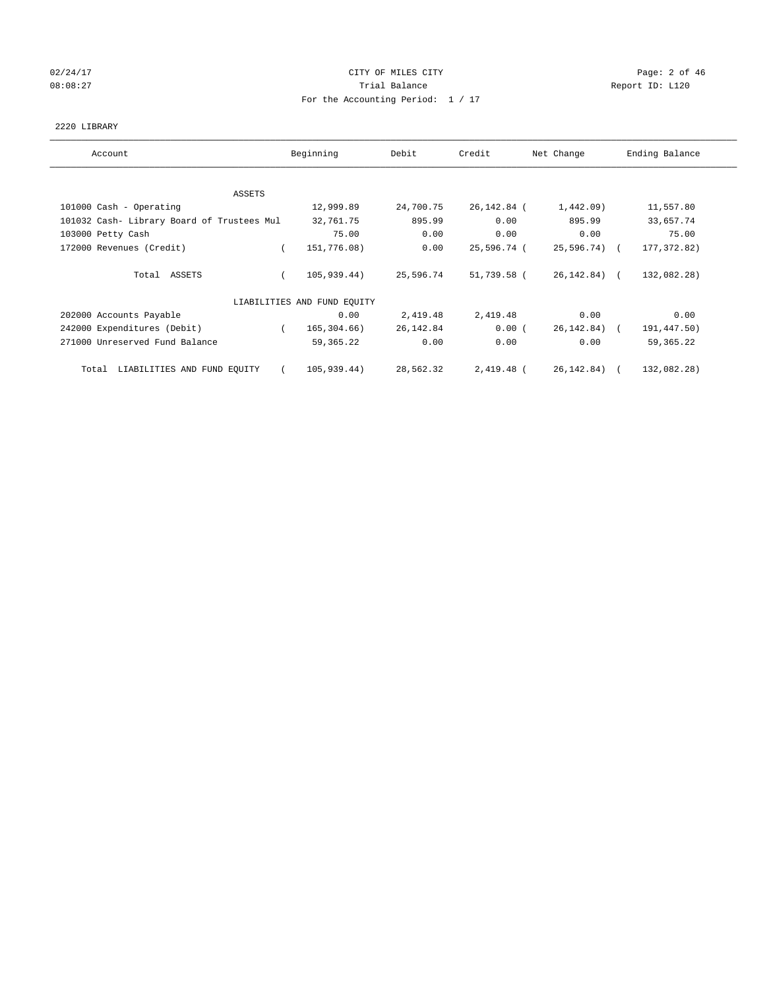# 02/24/17 Page: 2 of 46 08:08:27 CONSERVATION Report ID: L120 For the Accounting Period: 1 / 17

#### 2220 LIBRARY

| Account                                    | Beginning                   | Debit     | Credit      | Net Change   | Ending Balance |
|--------------------------------------------|-----------------------------|-----------|-------------|--------------|----------------|
| ASSETS                                     |                             |           |             |              |                |
| 101000 Cash - Operating                    | 12,999.89                   | 24,700.75 | 26,142.84 ( | $1,442.09$ ) | 11,557.80      |
| 101032 Cash- Library Board of Trustees Mul | 32,761.75                   | 895.99    | 0.00        | 895.99       | 33,657.74      |
| 103000 Petty Cash                          | 75.00                       | 0.00      | 0.00        | 0.00         | 75.00          |
| 172000 Revenues (Credit)                   | 151,776.08)<br>$\left($     | 0.00      | 25,596.74 ( | 25,596.74) ( | 177, 372.82)   |
| Total ASSETS                               | 105,939.44)                 | 25,596.74 | 51,739.58 ( | 26,142.84) ( | 132,082.28)    |
|                                            | LIABILITIES AND FUND EQUITY |           |             |              |                |
| 202000 Accounts Payable                    | 0.00                        | 2,419.48  | 2,419.48    | 0.00         | 0.00           |
| 242000 Expenditures (Debit)                | 165,304.66)                 | 26,142.84 | 0.00(       | 26,142.84) ( | 191,447.50)    |
| 271000 Unreserved Fund Balance             | 59,365.22                   | 0.00      | 0.00        | 0.00         | 59, 365. 22    |
| LIABILITIES AND FUND EQUITY<br>Total       | 105,939.44)<br>$\sqrt{2}$   | 28,562.32 | 2,419.48 (  | 26,142.84) ( | 132,082.28)    |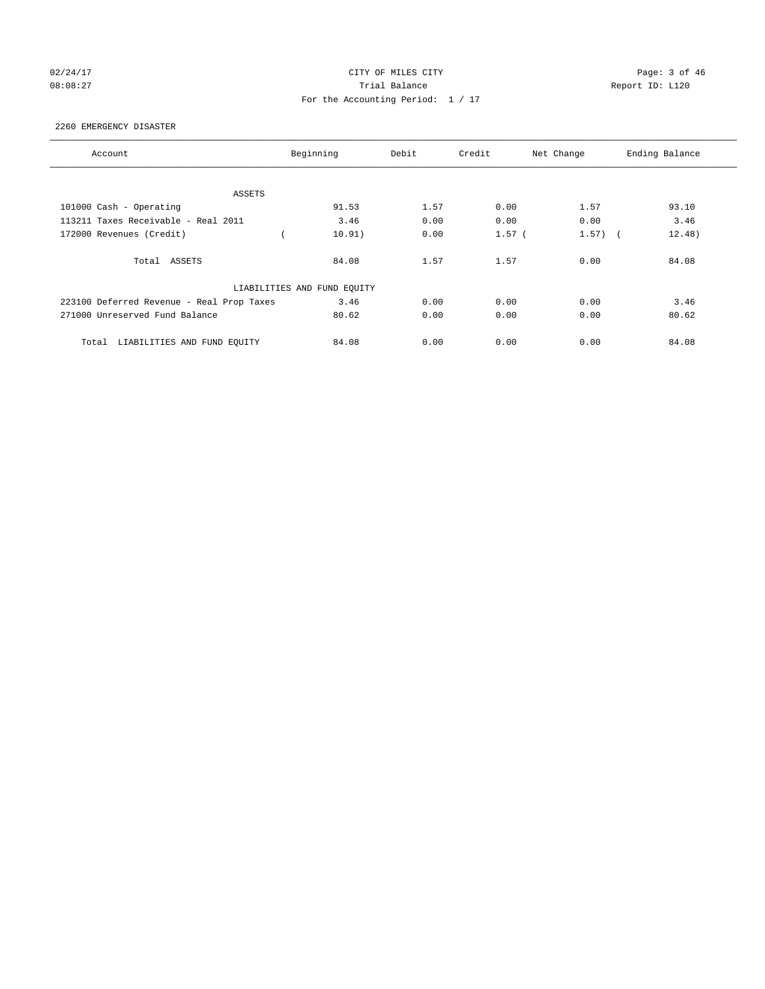# 02/24/17 Page: 3 of 46 08:08:27 Channel Balance Trial Balance Report ID: L120 For the Accounting Period: 1 / 17

#### 2260 EMERGENCY DISASTER

| Account                                   | Beginning                   | Debit | Credit   | Net Change | Ending Balance |
|-------------------------------------------|-----------------------------|-------|----------|------------|----------------|
|                                           |                             |       |          |            |                |
| <b>ASSETS</b>                             |                             |       |          |            |                |
| 101000 Cash - Operating                   | 91.53                       | 1.57  | 0.00     | 1.57       | 93.10          |
| 113211 Taxes Receivable - Real 2011       | 3.46                        | 0.00  | 0.00     | 0.00       | 3.46           |
| 172000 Revenues (Credit)                  | 10.91)                      | 0.00  | $1.57$ ( | $1.57)$ (  | 12.48)         |
| Total ASSETS                              | 84.08                       | 1.57  | 1.57     | 0.00       | 84.08          |
|                                           | LIABILITIES AND FUND EQUITY |       |          |            |                |
| 223100 Deferred Revenue - Real Prop Taxes | 3.46                        | 0.00  | 0.00     | 0.00       | 3.46           |
| 271000 Unreserved Fund Balance            | 80.62                       | 0.00  | 0.00     | 0.00       | 80.62          |
| LIABILITIES AND FUND EQUITY<br>Total      | 84.08                       | 0.00  | 0.00     | 0.00       | 84.08          |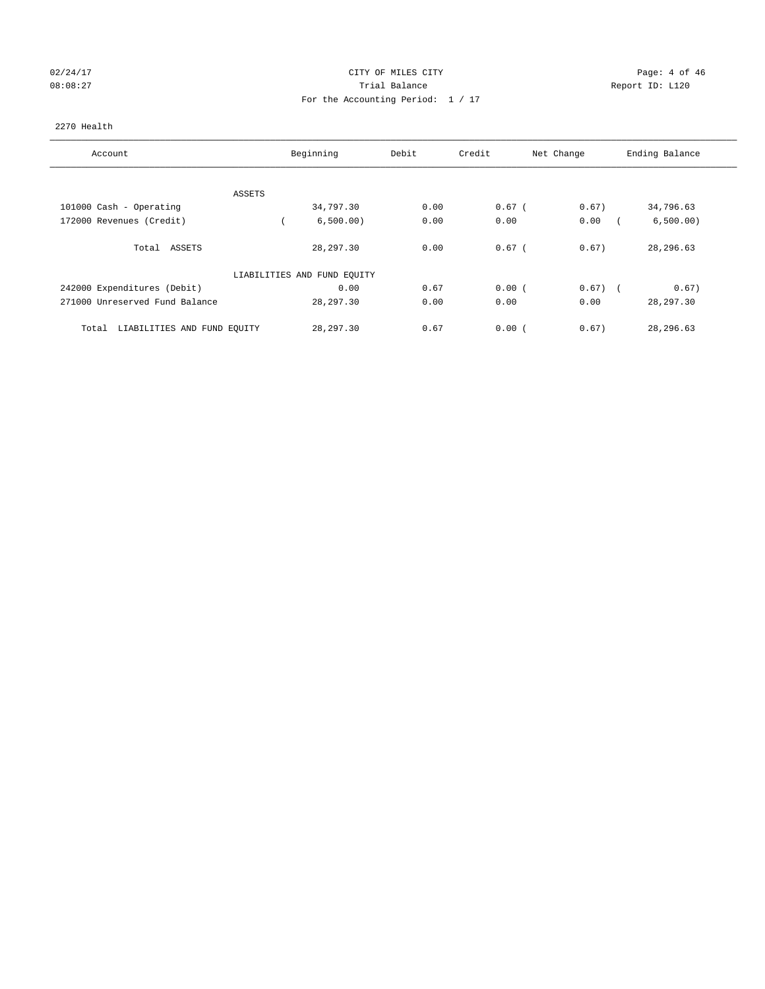# 02/24/17 Page: 4 of 46 08:08:27 Channel Balance Trial Balance Report ID: L120 For the Accounting Period: 1 / 17

#### 2270 Health

| Account                              | Beginning                   | Debit | Credit     | Net Change | Ending Balance |
|--------------------------------------|-----------------------------|-------|------------|------------|----------------|
| ASSETS                               |                             |       |            |            |                |
| 101000 Cash - Operating              | 34,797.30                   | 0.00  | $0.67$ (   | 0.67)      | 34,796.63      |
| 172000 Revenues (Credit)             | 6,500.00)                   | 0.00  | 0.00       | 0.00       | 6,500.00)      |
| Total ASSETS                         | 28, 297, 30                 | 0.00  | $0.67$ $($ | 0.67)      | 28,296.63      |
|                                      | LIABILITIES AND FUND EQUITY |       |            |            |                |
| 242000 Expenditures (Debit)          | 0.00                        | 0.67  | 0.00(      | $0.67)$ (  | 0.67)          |
| 271000 Unreserved Fund Balance       | 28,297.30                   | 0.00  | 0.00       | 0.00       | 28, 297.30     |
| LIABILITIES AND FUND EQUITY<br>Total | 28, 297.30                  | 0.67  | 0.00(      | 0.67)      | 28,296.63      |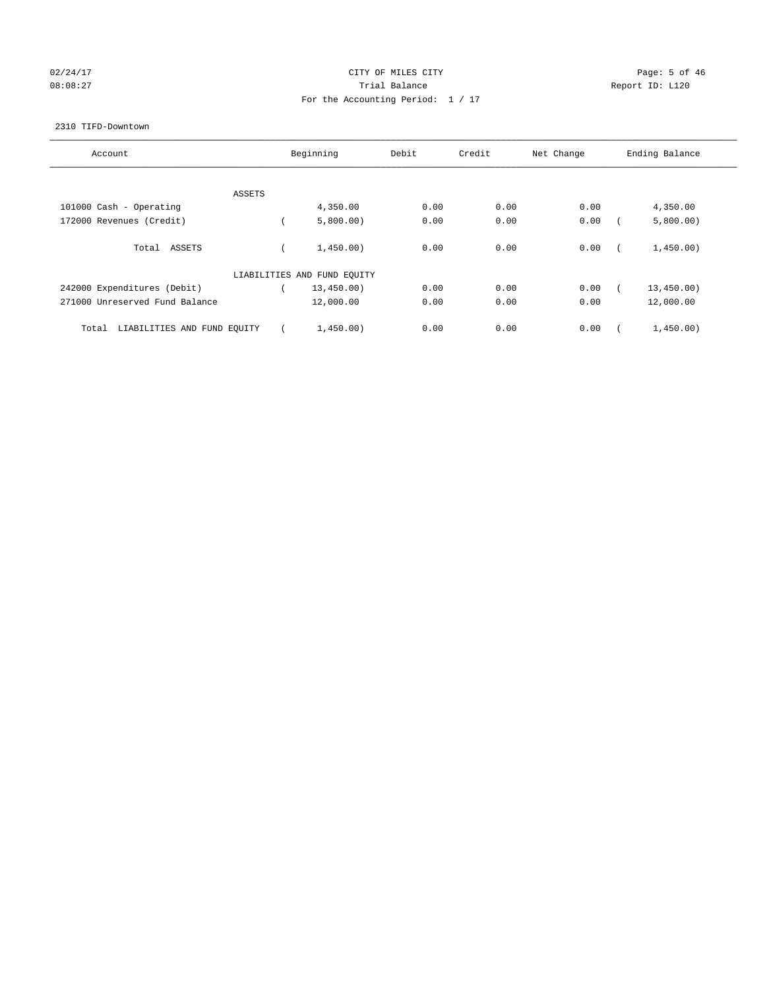# 02/24/17 Page: 5 of 46 08:08:27 CONSERVATION Report ID: L120 For the Accounting Period: 1 / 17

#### 2310 TIFD-Downtown

| Account                              | Beginning                   | Debit | Credit | Net Change | Ending Balance |
|--------------------------------------|-----------------------------|-------|--------|------------|----------------|
|                                      |                             |       |        |            |                |
| ASSETS                               |                             |       |        |            |                |
| 101000 Cash - Operating              | 4,350.00                    | 0.00  | 0.00   | 0.00       | 4,350.00       |
| 172000 Revenues (Credit)             | 5,800.00)                   | 0.00  | 0.00   | 0.00       | 5,800.00)      |
| Total ASSETS                         | 1,450.00)                   | 0.00  | 0.00   | 0.00       | 1,450.00)      |
|                                      | LIABILITIES AND FUND EQUITY |       |        |            |                |
| 242000 Expenditures (Debit)          | 13,450.00)                  | 0.00  | 0.00   | 0.00       | 13,450.00)     |
| 271000 Unreserved Fund Balance       | 12,000.00                   | 0.00  | 0.00   | 0.00       | 12,000.00      |
| LIABILITIES AND FUND EQUITY<br>Total | 1,450.00)                   | 0.00  | 0.00   | 0.00       | 1,450.00)      |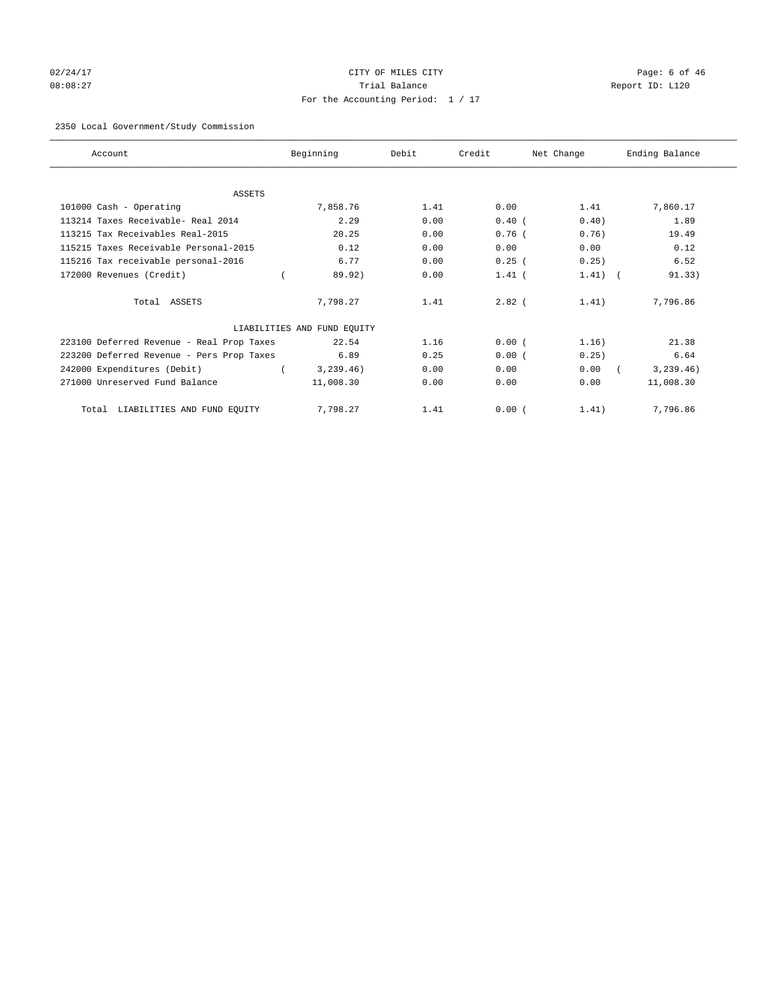# 02/24/17 Page: 6 of 46 08:08:27 Trial Balance Report ID: L120 For the Accounting Period: 1 / 17

#### 2350 Local Government/Study Commission

| Account                                   | Beginning                   | Debit | Credit   | Net Change | Ending Balance |
|-------------------------------------------|-----------------------------|-------|----------|------------|----------------|
|                                           |                             |       |          |            |                |
| <b>ASSETS</b>                             |                             |       |          |            |                |
| 101000 Cash - Operating                   | 7,858.76                    | 1.41  | 0.00     | 1.41       | 7,860.17       |
| 113214 Taxes Receivable- Real 2014        | 2.29                        | 0.00  | $0.40$ ( | 0.40)      | 1.89           |
| 113215 Tax Receivables Real-2015          | 20.25                       | 0.00  | 0.76(    | 0.76)      | 19.49          |
| 115215 Taxes Receivable Personal-2015     | 0.12                        | 0.00  | 0.00     | 0.00       | 0.12           |
| 115216 Tax receivable personal-2016       | 6.77                        | 0.00  | 0.25(    | 0.25)      | 6.52           |
| 172000 Revenues (Credit)                  | 89.92)                      | 0.00  | $1.41$ ( | $1.41$ (   | 91.33)         |
| Total ASSETS                              | 7,798.27                    | 1.41  | $2.82$ ( | 1.41)      | 7,796.86       |
|                                           | LIABILITIES AND FUND EQUITY |       |          |            |                |
| 223100 Deferred Revenue - Real Prop Taxes | 22.54                       | 1.16  | 0.00(    | 1.16)      | 21.38          |
| 223200 Deferred Revenue - Pers Prop Taxes | 6.89                        | 0.25  | 0.00(    | 0.25)      | 6.64           |
| 242000 Expenditures (Debit)               | 3, 239.46)                  | 0.00  | 0.00     | 0.00       | 3, 239.46)     |
| 271000 Unreserved Fund Balance            | 11,008.30                   | 0.00  | 0.00     | 0.00       | 11,008.30      |
| LIABILITIES AND FUND EQUITY<br>Total      | 7,798.27                    | 1.41  | 0.00(    | 1.41)      | 7,796.86       |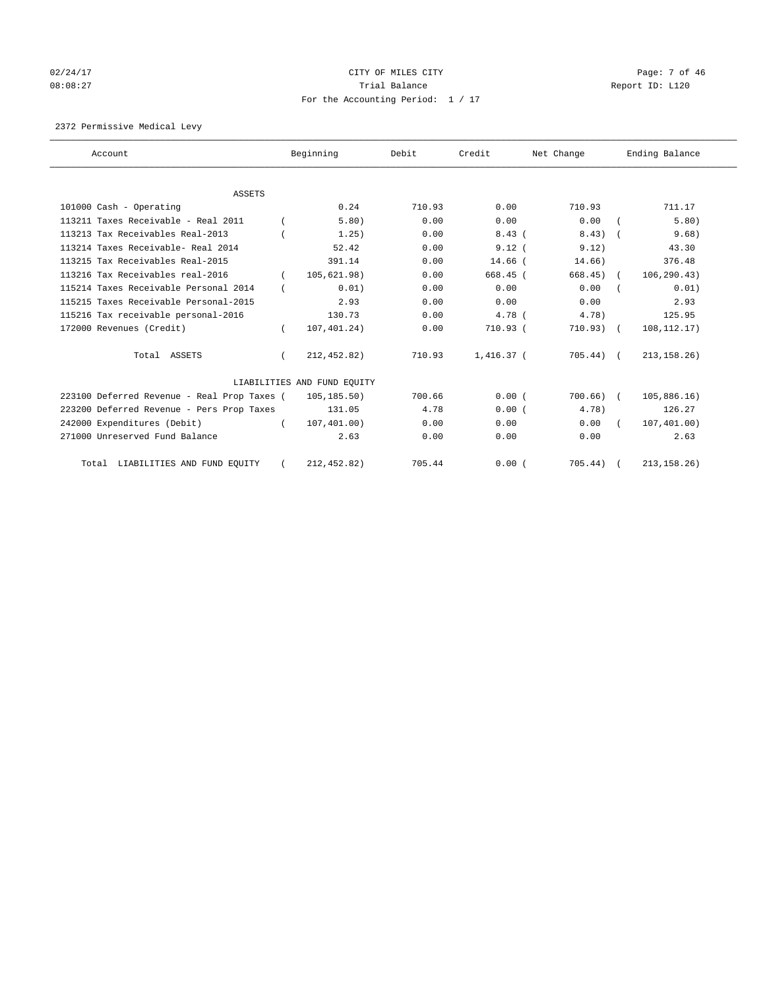# 02/24/17 Page: 7 of 46 08:08:27 CONSERVATION Report ID: L120 For the Accounting Period: 1 / 17

2372 Permissive Medical Levy

| Account                                     |          | Beginning                   | Debit  | Credit       | Net Change   | Ending Balance |
|---------------------------------------------|----------|-----------------------------|--------|--------------|--------------|----------------|
|                                             |          |                             |        |              |              |                |
| <b>ASSETS</b>                               |          |                             |        |              |              |                |
| 101000 Cash - Operating                     |          | 0.24                        | 710.93 | 0.00         | 710.93       | 711.17         |
| 113211 Taxes Receivable - Real 2011         |          | 5.80)                       | 0.00   | 0.00         | 0.00         | 5.80)          |
| 113213 Tax Receivables Real-2013            |          | 1.25)                       | 0.00   | 8.43(        | $8.43$ ) $($ | 9.68)          |
| 113214 Taxes Receivable- Real 2014          |          | 52.42                       | 0.00   | 9.12(        | 9.12)        | 43.30          |
| 113215 Tax Receivables Real-2015            |          | 391.14                      | 0.00   | $14.66$ $($  | 14.66)       | 376.48         |
| 113216 Tax Receivables real-2016            |          | 105,621.98)                 | 0.00   | 668.45 (     | $668.45$ (   | 106, 290.43)   |
| 115214 Taxes Receivable Personal 2014       |          | 0.01)                       | 0.00   | 0.00         | 0.00         | 0.01)          |
| 115215 Taxes Receivable Personal-2015       |          | 2.93                        | 0.00   | 0.00         | 0.00         | 2.93           |
| 115216 Tax receivable personal-2016         |          | 130.73                      | 0.00   | $4.78$ (     | 4.78)        | 125.95         |
| 172000 Revenues (Credit)                    |          | 107,401.24)                 | 0.00   | 710.93 (     | 710.93) (    | 108, 112. 17)  |
| Total ASSETS                                |          | 212,452.82)                 | 710.93 | $1.416.37$ ( | $705.44$ ) ( | 213, 158.26)   |
|                                             |          | LIABILITIES AND FUND EQUITY |        |              |              |                |
| 223100 Deferred Revenue - Real Prop Taxes ( |          | 105,185.50)                 | 700.66 | 0.00(        | $700.66)$ (  | 105,886.16)    |
| 223200 Deferred Revenue - Pers Prop Taxes   |          | 131.05                      | 4.78   | 0.00(        | 4.78)        | 126.27         |
| 242000 Expenditures (Debit)                 | $\left($ | 107, 401.00)                | 0.00   | 0.00         | 0.00         | 107,401.00)    |
| 271000 Unreserved Fund Balance              |          | 2.63                        | 0.00   | 0.00         | 0.00         | 2.63           |
| Total LIABILITIES AND FUND EQUITY           |          | 212, 452.82)                | 705.44 | 0.00(        | 705.44)      | 213, 158.26)   |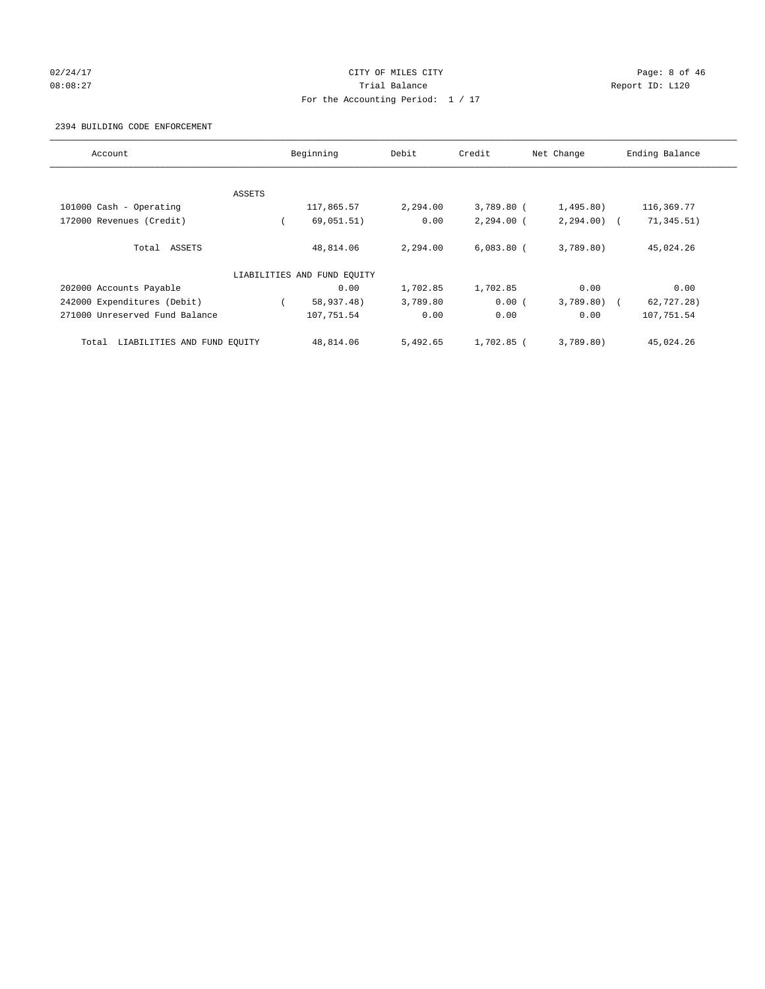# 02/24/17 Page: 8 of 46 08:08:27 Channel Balance Trial Balance Report ID: L120 For the Accounting Period: 1 / 17

#### 2394 BUILDING CODE ENFORCEMENT

| Account                              |        | Beginning                   | Debit    | Credit       | Net Change   | Ending Balance |
|--------------------------------------|--------|-----------------------------|----------|--------------|--------------|----------------|
|                                      |        |                             |          |              |              |                |
|                                      | ASSETS |                             |          |              |              |                |
| 101000 Cash - Operating              |        | 117,865.57                  | 2,294.00 | 3,789.80 (   | 1,495.80)    | 116,369.77     |
| 172000 Revenues (Credit)             |        | 69,051.51)                  | 0.00     | $2,294.00$ ( | $2,294.00$ ( | 71,345.51)     |
| Total ASSETS                         |        | 48,814.06                   | 2,294.00 | $6.083.80$ ( | 3,789.80)    | 45,024.26      |
|                                      |        | LIABILITIES AND FUND EQUITY |          |              |              |                |
| 202000 Accounts Payable              |        | 0.00                        | 1,702.85 | 1,702.85     | 0.00         | 0.00           |
| 242000 Expenditures (Debit)          |        | 58,937.48)                  | 3,789.80 | 0.00(        | $3,789.80$ ( | 62,727.28)     |
| 271000 Unreserved Fund Balance       |        | 107,751.54                  | 0.00     | 0.00         | 0.00         | 107,751.54     |
| LIABILITIES AND FUND EQUITY<br>Total |        | 48,814.06                   | 5,492.65 | $1.702.85$ ( | 3.789.80     | 45,024.26      |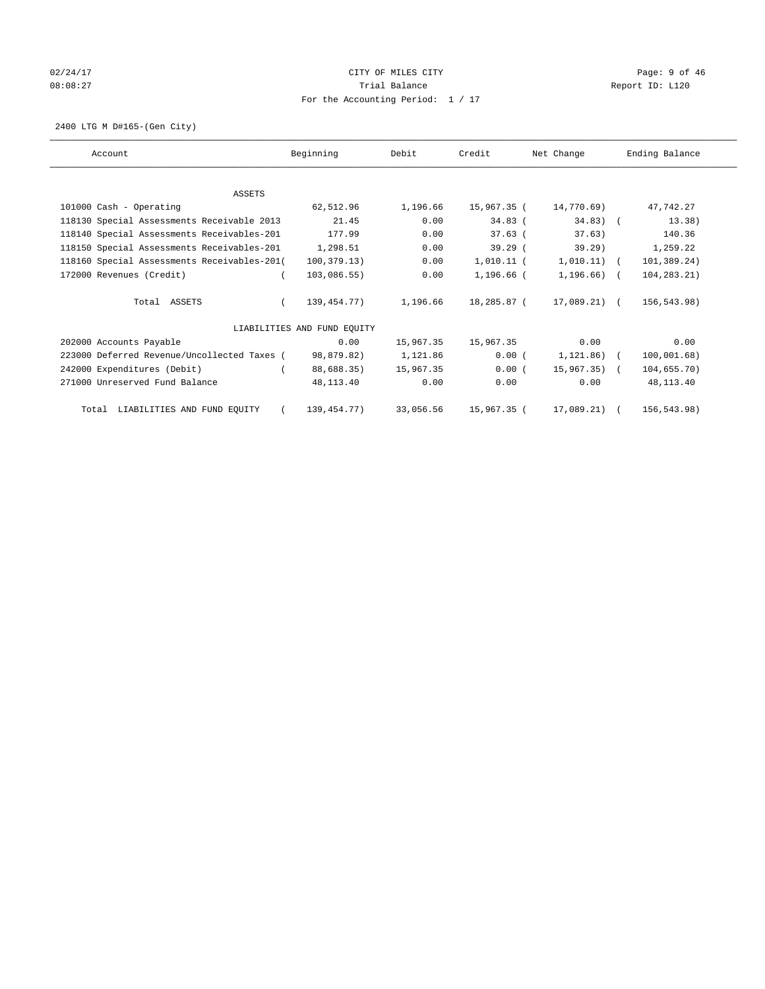# 02/24/17 Page: 9 of 46 08:08:27 CONSERVATION Report ID: L120 For the Accounting Period: 1 / 17

2400 LTG M D#165-(Gen City)

| Account                                     | Beginning                   | Debit     | Credit       | Net Change     | Ending Balance |
|---------------------------------------------|-----------------------------|-----------|--------------|----------------|----------------|
|                                             |                             |           |              |                |                |
| <b>ASSETS</b>                               |                             |           |              |                |                |
| 101000 Cash - Operating                     | 62,512.96                   | 1,196.66  | 15,967.35 (  | 14,770.69)     | 47,742.27      |
| 118130 Special Assessments Receivable 2013  | 21.45                       | 0.00      | $34.83$ (    | $34.83)$ (     | 13.38)         |
| 118140 Special Assessments Receivables-201  | 177.99                      | 0.00      | $37.63$ (    | 37.63)         | 140.36         |
| 118150 Special Assessments Receivables-201  | 1,298.51                    | 0.00      | 39.29(       | 39.29          | 1,259.22       |
| 118160 Special Assessments Receivables-201( | 100, 379.13)                | 0.00      | 1,010.11 (   | $1,010.11)$ (  | 101,389.24)    |
| 172000 Revenues (Credit)                    | 103,086.55)                 | 0.00      | $1.196.66$ ( | $1,196.66$ ) ( | 104,283.21)    |
| Total ASSETS                                | 139,454.77)                 | 1,196.66  | 18,285.87 (  | 17,089.21) (   | 156,543.98)    |
|                                             | LIABILITIES AND FUND EQUITY |           |              |                |                |
| 202000 Accounts Payable                     | 0.00                        | 15,967.35 | 15,967.35    | 0.00           | 0.00           |
| 223000 Deferred Revenue/Uncollected Taxes ( | 98,879.82)                  | 1,121.86  | 0.00(        | 1,121.86) (    | 100,001.68)    |
| 242000 Expenditures (Debit)                 | 88,688.35)                  | 15,967.35 | 0.00(        | $15,967,35$ (  | 104,655.70)    |
| 271000 Unreserved Fund Balance              | 48,113.40                   | 0.00      | 0.00         | 0.00           | 48,113.40      |
| Total LIABILITIES AND FUND EQUITY           | 139,454.77)                 | 33,056.56 | 15,967.35 (  | $17,089.21)$ ( | 156,543.98)    |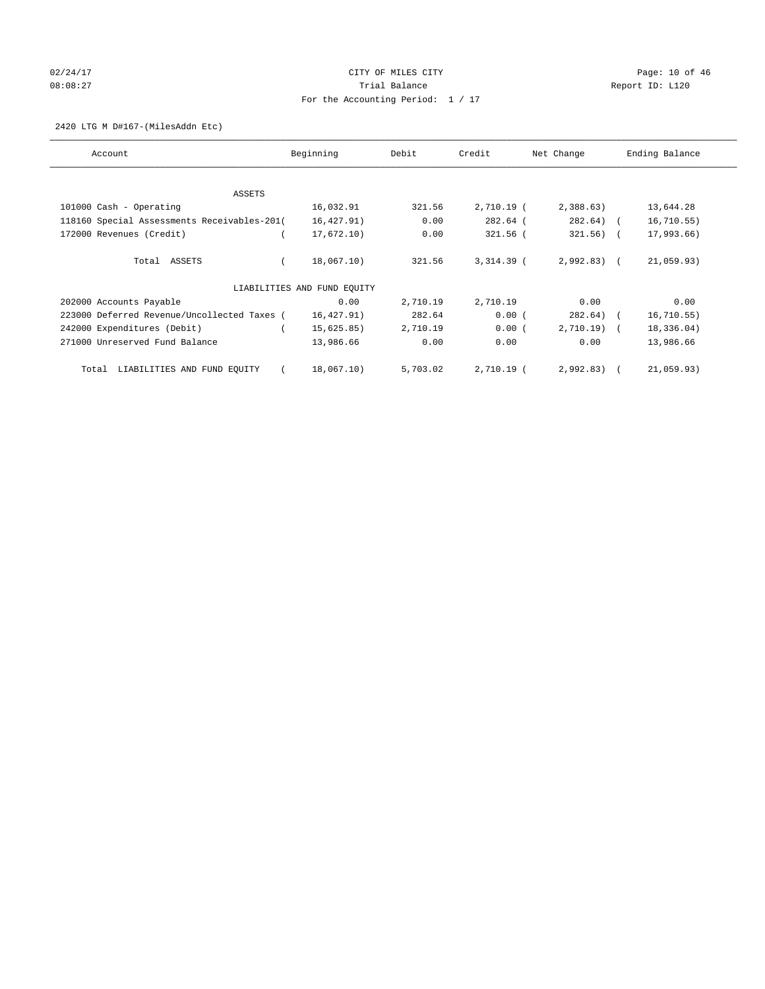# 02/24/17 Page: 10 of 46 08:08:27 COMPOSERT TRIAL BALANCE REPORT ID: L120 For the Accounting Period: 1 / 17

#### 2420 LTG M D#167-(MilesAddn Etc)

| Account                                     | Beginning                   | Debit    | Credit       | Net Change   | Ending Balance |
|---------------------------------------------|-----------------------------|----------|--------------|--------------|----------------|
| ASSETS                                      |                             |          |              |              |                |
| 101000 Cash - Operating                     | 16,032.91                   | 321.56   | $2,710.19$ ( | 2,388.63     | 13,644.28      |
| 118160 Special Assessments Receivables-201( | 16, 427.91)                 | 0.00     | 282.64 (     | $282.64$ ) ( | 16, 710.55)    |
| 172000 Revenues (Credit)                    | 17,672.10)                  | 0.00     | 321.56 (     | $321.56$ ) ( | 17,993.66)     |
| Total ASSETS                                | 18,067.10)                  | 321.56   | $3,314.39$ ( | $2,992.83$ ( | 21,059.93)     |
|                                             | LIABILITIES AND FUND EQUITY |          |              |              |                |
| 202000 Accounts Payable                     | 0.00                        | 2,710.19 | 2,710.19     | 0.00         | 0.00           |
| 223000 Deferred Revenue/Uncollected Taxes ( | 16,427.91)                  | 282.64   | 0.00(        | $282.64$ ) ( | 16, 710.55)    |
| 242000 Expenditures (Debit)                 | 15,625.85)                  | 2,710.19 | 0.00(        | $2,710.19$ ( | 18,336.04)     |
| 271000 Unreserved Fund Balance              | 13,986.66                   | 0.00     | 0.00         | 0.00         | 13,986.66      |
| LIABILITIES AND FUND EQUITY<br>Total        | 18,067.10)                  | 5,703.02 | 2,710.19 (   | 2,992.83)    | 21,059.93)     |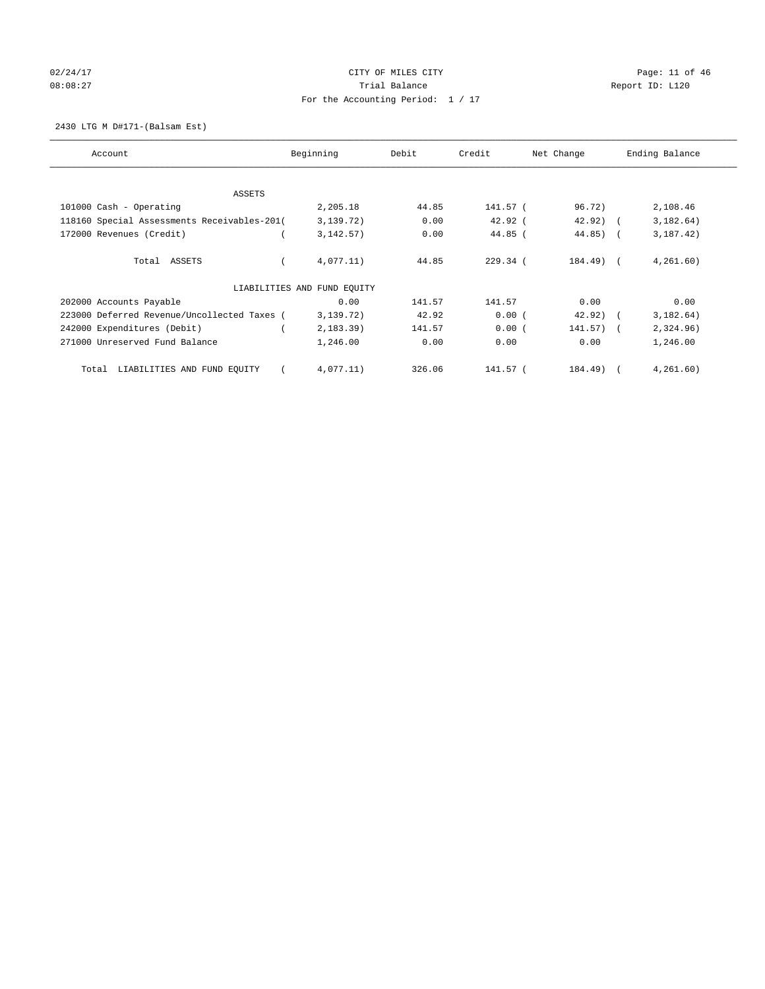# 02/24/17 Page: 11 of 46 08:08:27 COMPOSERT TRIAL BALANCE REPORT ID: L120 For the Accounting Period: 1 / 17

2430 LTG M D#171-(Balsam Est)

| Account                                     | Beginning                   | Debit  | Credit     | Net Change  | Ending Balance |
|---------------------------------------------|-----------------------------|--------|------------|-------------|----------------|
| ASSETS                                      |                             |        |            |             |                |
| 101000 Cash - Operating                     | 2,205.18                    | 44.85  | 141.57 (   | 96.72)      | 2,108.46       |
| 118160 Special Assessments Receivables-201( | 3,139.72)                   | 0.00   | $42.92$ (  | $42.92)$ (  | 3,182.64)      |
| 172000 Revenues (Credit)                    | 3, 142.57)                  | 0.00   | $44.85$ (  | $44.85$ ) ( | 3, 187, 42)    |
| Total ASSETS                                | 4,077.11)                   | 44.85  | $229.34$ ( | 184.49) (   | 4, 261, 60)    |
|                                             | LIABILITIES AND FUND EQUITY |        |            |             |                |
| 202000 Accounts Payable                     | 0.00                        | 141.57 | 141.57     | 0.00        | 0.00           |
| 223000 Deferred Revenue/Uncollected Taxes ( | 3,139.72)                   | 42.92  | 0.00(      | $42.92)$ (  | 3,182.64)      |
| 242000 Expenditures (Debit)                 | 2, 183.39)                  | 141.57 | 0.00(      | $141.57)$ ( | 2,324.96)      |
| 271000 Unreserved Fund Balance              | 1,246.00                    | 0.00   | 0.00       | 0.00        | 1,246.00       |
| LIABILITIES AND FUND EQUITY<br>Total        | 4,077.11)                   | 326.06 | 141.57 (   | 184.49)     | 4, 261, 60)    |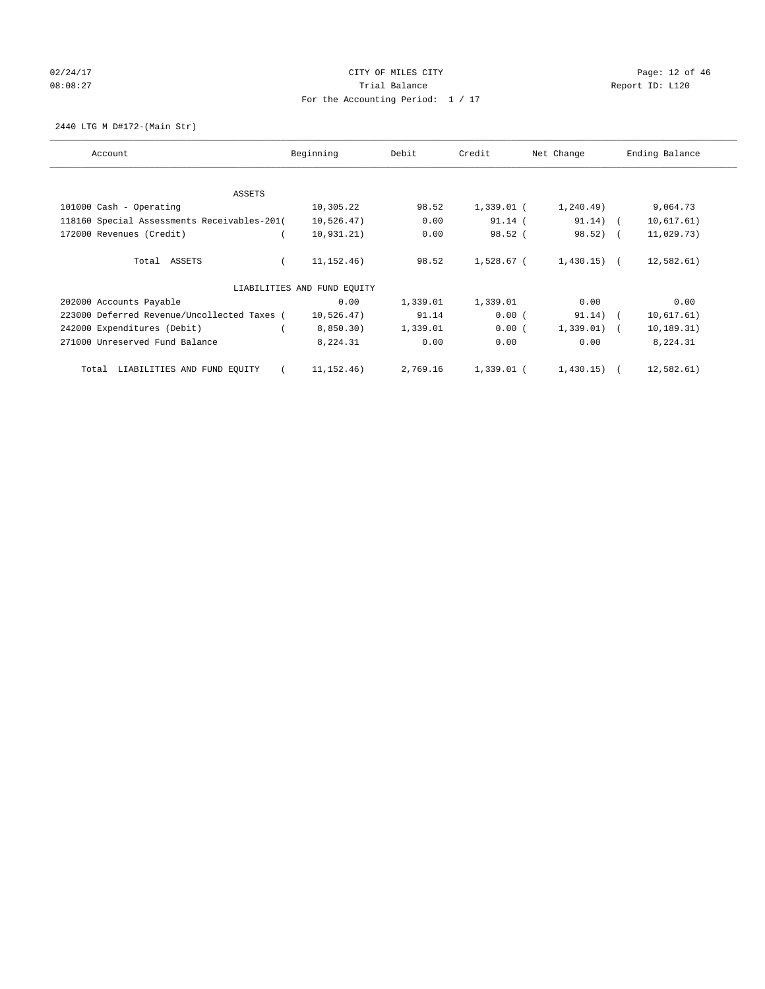# 02/24/17 Page: 12 of 46 08:08:27 COMPOSERT TRIAL BALANCE REPORT ID: L120 For the Accounting Period: 1 / 17

2440 LTG M D#172-(Main Str)

| Account                                     | Beginning                   | Debit    | Credit     | Net Change    | Ending Balance |
|---------------------------------------------|-----------------------------|----------|------------|---------------|----------------|
| ASSETS                                      |                             |          |            |               |                |
| 101000 Cash - Operating                     | 10,305.22                   | 98.52    | 1,339.01 ( | 1, 240.49)    | 9,064.73       |
| 118160 Special Assessments Receivables-201( | 10,526.47)                  | 0.00     | $91.14$ (  | $91.14)$ (    | 10,617.61)     |
| 172000 Revenues (Credit)                    | 10,931,21)                  | 0.00     | 98.52(     | 98.52) (      | 11,029.73)     |
| Total ASSETS                                | 11, 152. 46)                | 98.52    | 1,528.67 ( | $1,430.15$ (  | 12,582.61)     |
|                                             | LIABILITIES AND FUND EQUITY |          |            |               |                |
| 202000 Accounts Payable                     | 0.00                        | 1,339.01 | 1,339.01   | 0.00          | 0.00           |
| 223000 Deferred Revenue/Uncollected Taxes ( | 10,526.47)                  | 91.14    | 0.00(      | $91.14)$ (    | 10,617.61)     |
| 242000 Expenditures (Debit)                 | 8,850.30)                   | 1,339.01 | 0.00(      | $1,339.01)$ ( | 10, 189.31)    |
| 271000 Unreserved Fund Balance              | 8,224.31                    | 0.00     | 0.00       | 0.00          | 8,224.31       |
| LIABILITIES AND FUND EQUITY<br>Total        | 11, 152. 46)                | 2,769.16 | 1,339.01 ( | $1,430.15)$ ( | 12,582.61)     |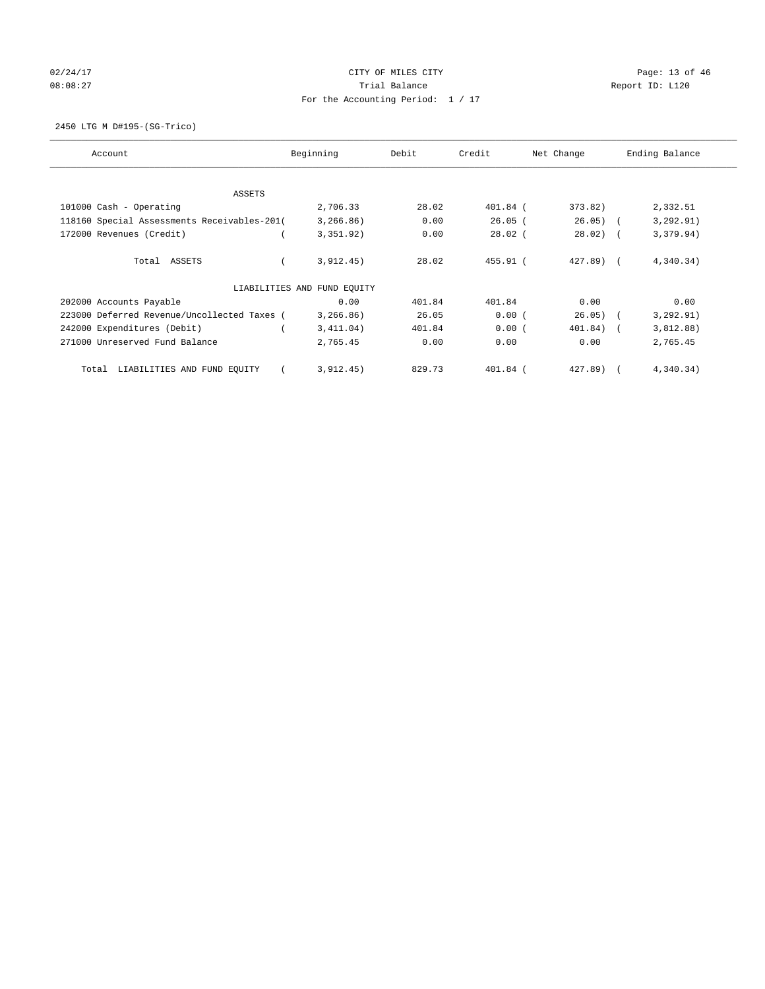# 02/24/17 Page: 13 of 46 08:08:27 COMPOSERT TRIAL BALANCE REPORT ID: L120 For the Accounting Period: 1 / 17

2450 LTG M D#195-(SG-Trico)

| Account                                     | Beginning                   | Debit  | Credit     | Net Change  | Ending Balance |
|---------------------------------------------|-----------------------------|--------|------------|-------------|----------------|
| ASSETS                                      |                             |        |            |             |                |
| 101000 Cash - Operating                     | 2,706.33                    | 28.02  | 401.84 (   | 373.82)     | 2,332.51       |
| 118160 Special Assessments Receivables-201( | 3, 266.86)                  | 0.00   | $26.05$ (  | $26.05)$ (  | 3, 292.91)     |
| 172000 Revenues (Credit)                    | 3,351.92)                   | 0.00   | $28.02$ (  | $28.02)$ (  | 3,379.94)      |
| Total ASSETS                                | 3,912.45)                   | 28.02  | $455.91$ ( | $427.89$ (  | 4,340.34)      |
|                                             | LIABILITIES AND FUND EQUITY |        |            |             |                |
| 202000 Accounts Payable                     | 0.00                        | 401.84 | 401.84     | 0.00        | 0.00           |
| 223000 Deferred Revenue/Uncollected Taxes ( | 3, 266.86)                  | 26.05  | 0.00(      | $26.05)$ (  | 3, 292.91)     |
| 242000 Expenditures (Debit)                 | 3,411.04)                   | 401.84 | 0.00(      | $401.84)$ ( | 3,812.88)      |
| 271000 Unreserved Fund Balance              | 2,765.45                    | 0.00   | 0.00       | 0.00        | 2,765.45       |
| LIABILITIES AND FUND EQUITY<br>Total        | 3,912.45)                   | 829.73 | 401.84 (   | 427.89)     | 4,340.34)      |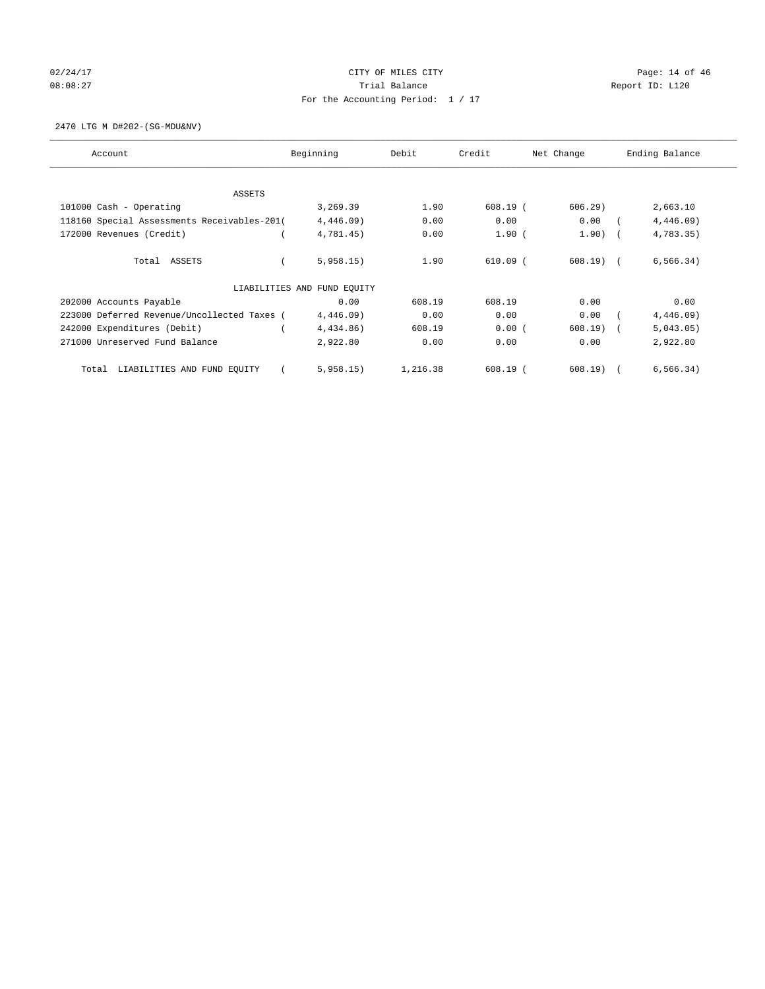# 02/24/17 Page: 14 of 46 08:08:27 COMPOSERT TRIAL BALANCE REPORT ID: L120 For the Accounting Period: 1 / 17

2470 LTG M D#202-(SG-MDU&NV)

| Account                                     | Beginning                   | Debit    | Credit     | Net Change | Ending Balance |
|---------------------------------------------|-----------------------------|----------|------------|------------|----------------|
| ASSETS                                      |                             |          |            |            |                |
| 101000 Cash - Operating                     | 3,269.39                    | 1.90     | $608.19$ ( | 606.29     | 2,663.10       |
| 118160 Special Assessments Receivables-201( | $4,446.09$ )                | 0.00     | 0.00       | 0.00       | $4,446.09$ )   |
| 172000 Revenues (Credit)                    | 4,781.45)                   | 0.00     | $1.90$ (   | $1.90)$ (  | 4,783.35)      |
| Total ASSETS                                | 5,958.15)                   | 1.90     | $610.09$ ( | 608.19) (  | 6, 566.34)     |
|                                             | LIABILITIES AND FUND EQUITY |          |            |            |                |
| 202000 Accounts Payable                     | 0.00                        | 608.19   | 608.19     | 0.00       | 0.00           |
| 223000 Deferred Revenue/Uncollected Taxes ( | $4,446.09$ )                | 0.00     | 0.00       | 0.00       | 4,446.09)      |
| 242000 Expenditures (Debit)                 | 4,434.86)                   | 608.19   | 0.00(      | 608.19)    | 5,043.05)      |
| 271000 Unreserved Fund Balance              | 2,922.80                    | 0.00     | 0.00       | 0.00       | 2,922.80       |
| LIABILITIES AND FUND EQUITY<br>Total        | 5,958.15)                   | 1,216.38 | $608.19$ ( | $608.19$ ( | 6, 566.34)     |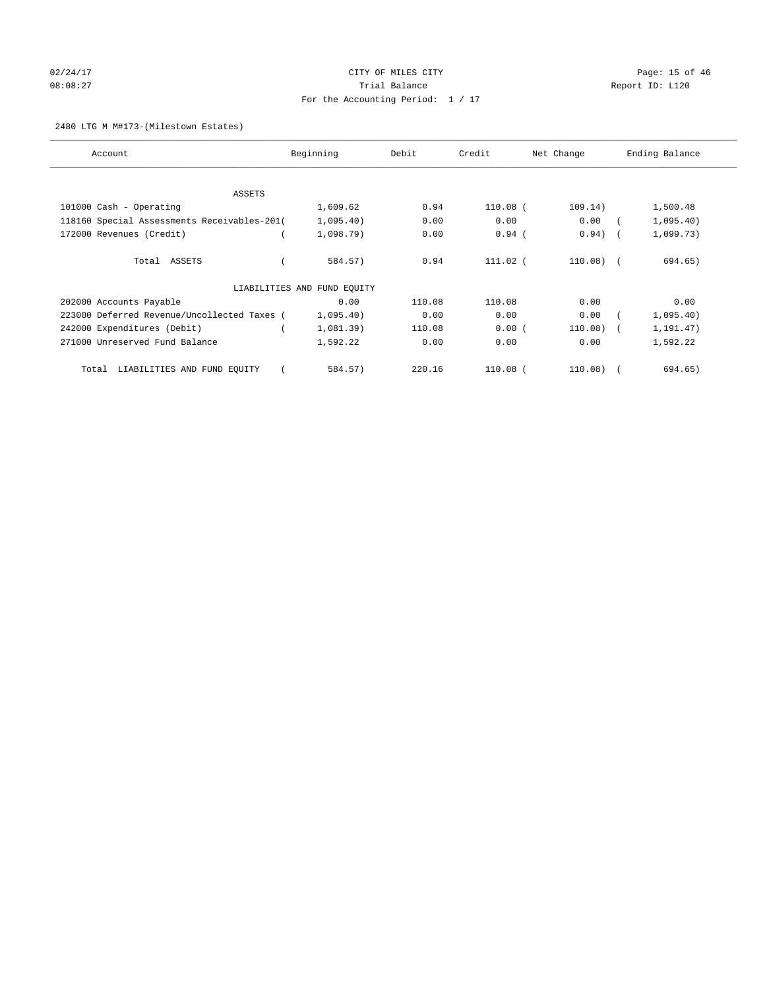# 02/24/17 CITY OF MILES CITY CHECK CITY CHECK Page: 15 of 46 08:08:27 COMPOSERT TRIAL BALANCE REPORT ID: L120 For the Accounting Period: 1 / 17

#### 2480 LTG M M#173-(Milestown Estates)

| Account                                     | Beginning                   | Debit  | Credit     | Net Change | Ending Balance |
|---------------------------------------------|-----------------------------|--------|------------|------------|----------------|
| ASSETS                                      |                             |        |            |            |                |
| 101000 Cash - Operating                     | 1,609.62                    | 0.94   | 110.08 (   | 109.14)    | 1,500.48       |
| 118160 Special Assessments Receivables-201( | 1,095.40)                   | 0.00   | 0.00       | 0.00       | 1,095.40)      |
| 172000 Revenues (Credit)                    | 1,098.79)                   | 0.00   | $0.94$ (   | 0.94)      | 1,099.73)      |
| Total ASSETS                                | 584.57)                     | 0.94   | $111.02$ ( | $110.08$ ( | 694.65)        |
|                                             | LIABILITIES AND FUND EQUITY |        |            |            |                |
| 202000 Accounts Payable                     | 0.00                        | 110.08 | 110.08     | 0.00       | 0.00           |
| 223000 Deferred Revenue/Uncollected Taxes ( | 1,095.40)                   | 0.00   | 0.00       | 0.00       | 1,095.40)      |
| 242000 Expenditures (Debit)                 | 1,081.39)                   | 110.08 | 0.00(      | 110.08)    | 1,191.47)      |
| 271000 Unreserved Fund Balance              | 1,592.22                    | 0.00   | 0.00       | 0.00       | 1,592.22       |
| LIABILITIES AND FUND EQUITY<br>Total        | 584.57)                     | 220.16 | $110.08$ ( | $110.08$ ( | 694.65)        |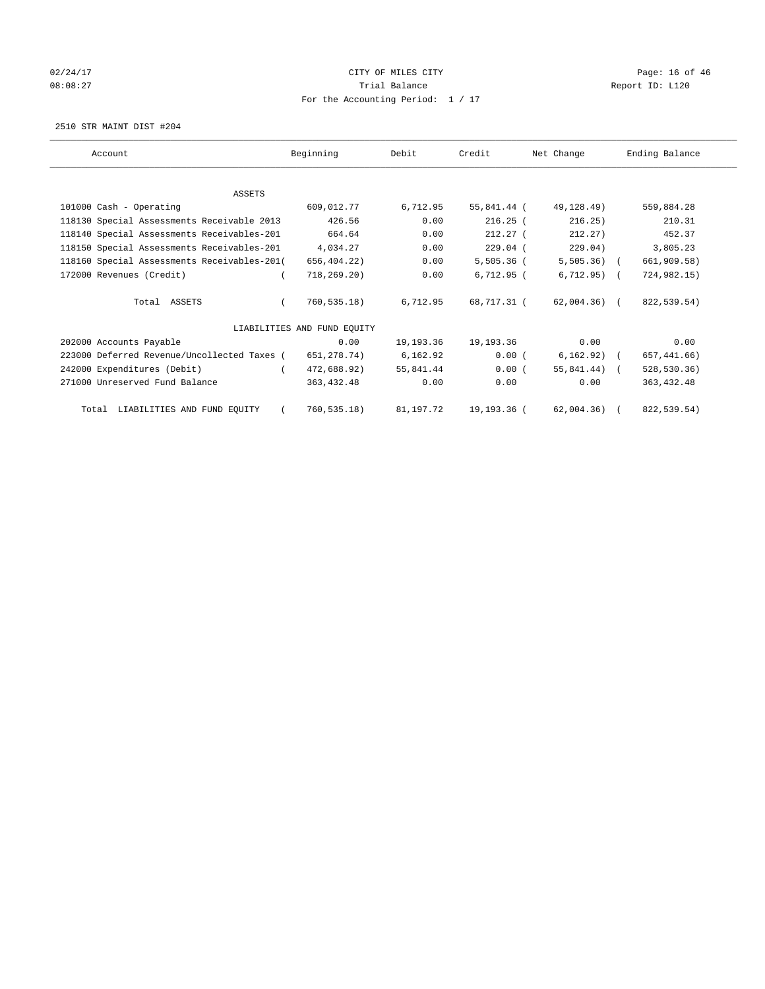# 02/24/17 Page: 16 of 46 08:08:27 COMPOSERT TRIAL BALANCE REPORT ID: L120 For the Accounting Period: 1 / 17

2510 STR MAINT DIST #204

| Account                                     | Beginning                   | Debit     | Credit       | Net Change     | Ending Balance |
|---------------------------------------------|-----------------------------|-----------|--------------|----------------|----------------|
|                                             |                             |           |              |                |                |
| <b>ASSETS</b>                               |                             |           |              |                |                |
| 101000 Cash - Operating                     | 609,012.77                  | 6,712.95  | 55,841.44 (  | 49,128.49)     | 559,884.28     |
| 118130 Special Assessments Receivable 2013  | 426.56                      | 0.00      | $216.25$ (   | 216.25)        | 210.31         |
| 118140 Special Assessments Receivables-201  | 664.64                      | 0.00      | $212.27$ (   | 212.27         | 452.37         |
| 118150 Special Assessments Receivables-201  | 4,034.27                    | 0.00      | $229.04$ (   | 229.04)        | 3,805.23       |
| 118160 Special Assessments Receivables-201( | 656,404.22)                 | 0.00      | $5,505.36$ ( | $5,505.36$ (   | 661,909.58)    |
| 172000 Revenues (Credit)                    | 718, 269.20)                | 0.00      | 6.712.95(    | $6, 712.95$ (  | 724,982.15)    |
| Total ASSETS                                | 760,535.18)                 | 6,712.95  | 68,717.31 (  | 62,004.36) (   | 822,539.54)    |
|                                             | LIABILITIES AND FUND EQUITY |           |              |                |                |
| 202000 Accounts Payable                     | 0.00                        | 19,193.36 | 19,193.36    | 0.00           | 0.00           |
| 223000 Deferred Revenue/Uncollected Taxes ( | 651,278.74)                 | 6,162.92  | 0.00(        | $6,162.92)$ (  | 657, 441.66)   |
| 242000 Expenditures (Debit)                 | 472,688.92)                 | 55,841.44 | 0.00(        | $55,841.44)$ ( | 528,530.36)    |
| 271000 Unreserved Fund Balance              | 363,432.48                  | 0.00      | 0.00         | 0.00           | 363, 432.48    |
| Total LIABILITIES AND FUND EQUITY           | 760, 535.18)                | 81,197.72 | 19,193.36 (  | $62,004.36$ (  | 822,539.54)    |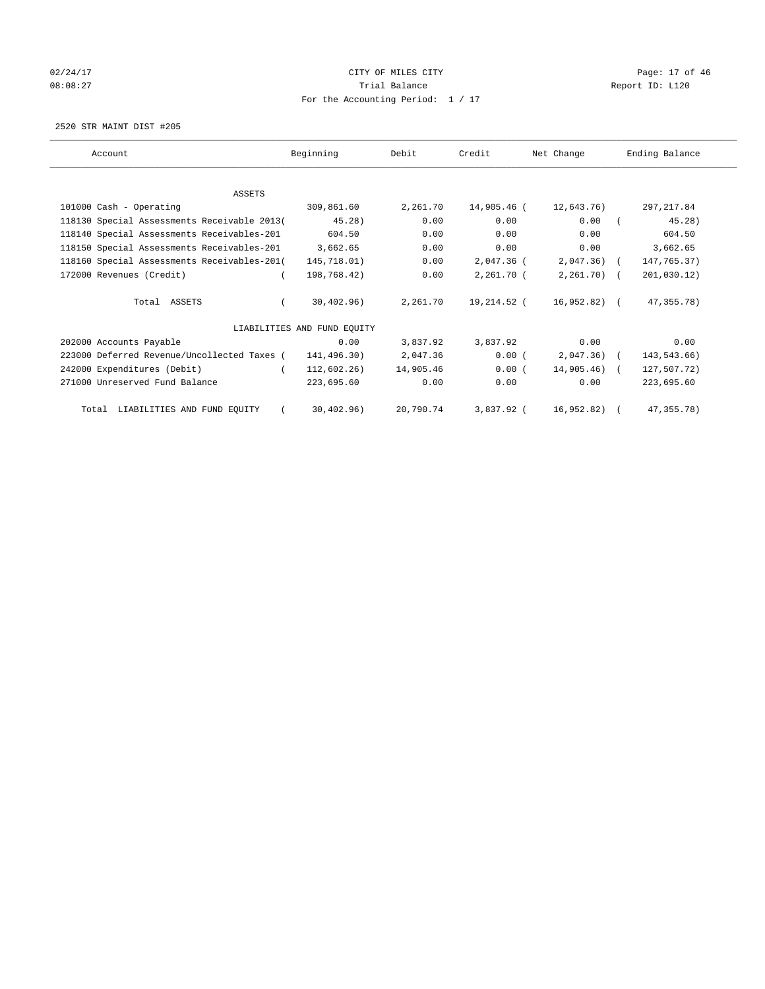# 02/24/17 Page: 17 of 46 08:08:27 COMPOSERT TRIAL BALANCE REPORT ID: L120 For the Accounting Period: 1 / 17

2520 STR MAINT DIST #205

| Account                                     | Beginning                   | Debit     | Credit      | Net Change    | Ending Balance |
|---------------------------------------------|-----------------------------|-----------|-------------|---------------|----------------|
|                                             |                             |           |             |               |                |
| ASSETS                                      |                             |           |             |               |                |
| 101000 Cash - Operating                     | 309,861.60                  | 2,261.70  | 14,905.46 ( | 12,643.76)    | 297, 217.84    |
| 118130 Special Assessments Receivable 2013( | 45.28)                      | 0.00      | 0.00        | 0.00          | 45.28)         |
| 118140 Special Assessments Receivables-201  | 604.50                      | 0.00      | 0.00        | 0.00          | 604.50         |
| 118150 Special Assessments Receivables-201  | 3,662.65                    | 0.00      | 0.00        | 0.00          | 3,662.65       |
| 118160 Special Assessments Receivables-201( | 145,718.01)                 | 0.00      | 2,047.36 (  | $2,047.36$ (  | 147,765.37)    |
| 172000 Revenues (Credit)                    | 198,768.42)                 | 0.00      | 2,261.70 (  | $2,261.70$ (  | 201,030.12)    |
| Total ASSETS                                | 30,402,96)                  | 2,261.70  | 19,214.52 ( | 16,952.82) (  | 47, 355. 78)   |
|                                             | LIABILITIES AND FUND EOUITY |           |             |               |                |
| 202000 Accounts Payable                     | 0.00                        | 3,837.92  | 3,837.92    | 0.00          | 0.00           |
| 223000 Deferred Revenue/Uncollected Taxes ( | 141,496.30)                 | 2,047.36  | $0.00$ (    | $2,047.36$ (  | 143,543.66)    |
| 242000 Expenditures (Debit)                 | 112,602.26)                 | 14,905.46 | 0.00(       | $14,905.46$ ( | 127,507.72)    |
| 271000 Unreserved Fund Balance              | 223,695.60                  | 0.00      | 0.00        | 0.00          | 223,695.60     |
| Total LIABILITIES AND FUND EQUITY           | 30, 402.96)                 | 20,790.74 | 3,837.92 (  | 16,952.82)    | 47, 355. 78)   |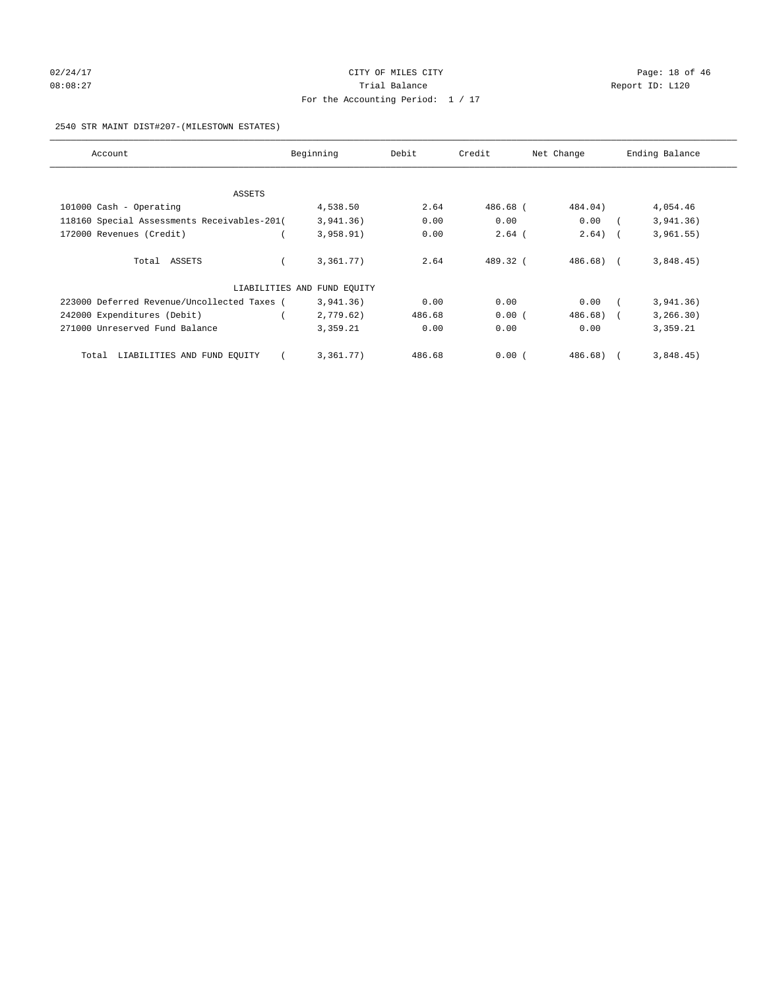# 02/24/17 Page: 18 of 46 08:08:27 COMPOSERT TRIAL BALANCE REPORT ID: L120 For the Accounting Period: 1 / 17

#### 2540 STR MAINT DIST#207-(MILESTOWN ESTATES)

| Account                                     | Beginning                   | Debit  | Credit   | Net Change   | Ending Balance |
|---------------------------------------------|-----------------------------|--------|----------|--------------|----------------|
|                                             |                             |        |          |              |                |
| ASSETS                                      |                             |        |          |              |                |
| 101000 Cash - Operating                     | 4,538.50                    | 2.64   | 486.68 ( | 484.04)      | 4,054.46       |
| 118160 Special Assessments Receivables-201( | 3,941.36)                   | 0.00   | 0.00     | 0.00         | 3,941.36)      |
| 172000 Revenues (Credit)                    | 3,958.91)                   | 0.00   | $2.64$ ( | 2.64)        | 3,961.55)      |
| Total ASSETS                                | 3,361.77)                   | 2.64   | 489.32 ( | $486.68$ ) ( | 3,848.45)      |
|                                             | LIABILITIES AND FUND EQUITY |        |          |              |                |
| 223000 Deferred Revenue/Uncollected Taxes ( | 3,941.36)                   | 0.00   | 0.00     | 0.00         | 3,941.36)      |
| 242000 Expenditures (Debit)                 | 2,779.62)                   | 486.68 | 0.00(    | 486.68)      | 3, 266.30)     |
| 271000 Unreserved Fund Balance              | 3,359.21                    | 0.00   | 0.00     | 0.00         | 3,359.21       |
| LIABILITIES AND FUND EQUITY<br>Total        | 3,361.77)                   | 486.68 | 0.00(    | 486.68)      | 3,848.45)      |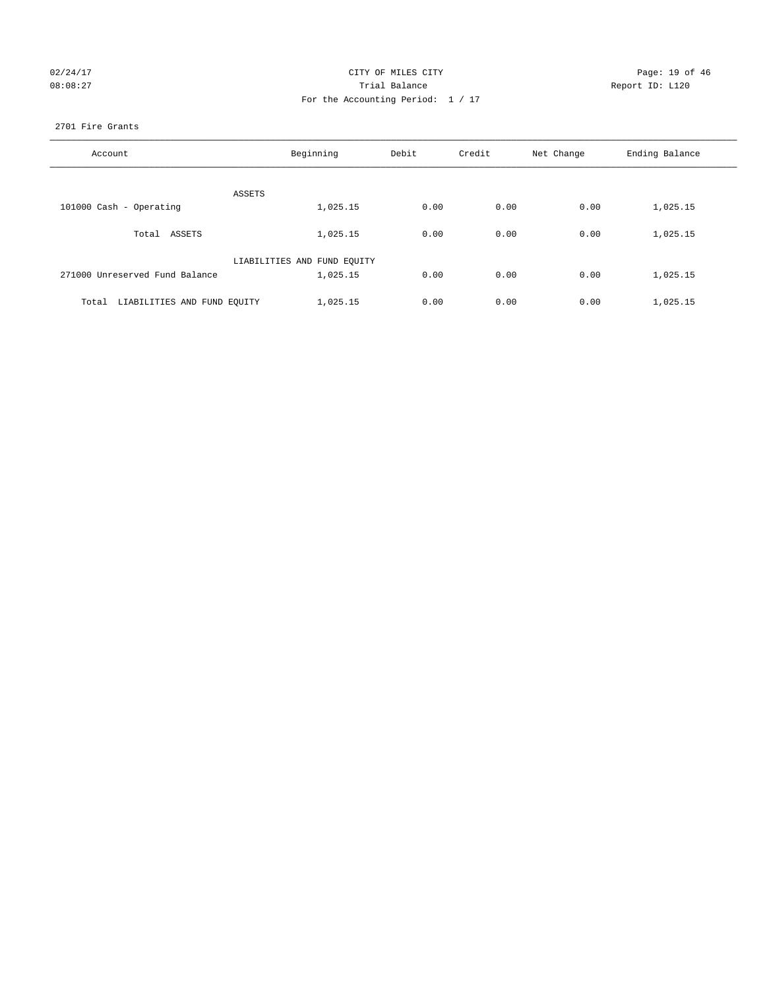| 02/24/17 |  |
|----------|--|
| 08:08:27 |  |

#### CITY OF MILES CITY CONTROL CONTROL CONTROL CITY 08:08:27 Trial Balance Report ID: L120 For the Accounting Period: 1 / 17

#### 2701 Fire Grants

| Account                              | Beginning                   | Debit | Credit | Net Change | Ending Balance |
|--------------------------------------|-----------------------------|-------|--------|------------|----------------|
| ASSETS                               |                             |       |        |            |                |
| 101000 Cash - Operating              | 1,025.15                    | 0.00  | 0.00   | 0.00       | 1,025.15       |
| Total ASSETS                         | 1,025.15                    | 0.00  | 0.00   | 0.00       | 1,025.15       |
|                                      | LIABILITIES AND FUND EQUITY |       |        |            |                |
| 271000 Unreserved Fund Balance       | 1,025.15                    | 0.00  | 0.00   | 0.00       | 1,025.15       |
| LIABILITIES AND FUND EQUITY<br>Total | 1,025.15                    | 0.00  | 0.00   | 0.00       | 1,025.15       |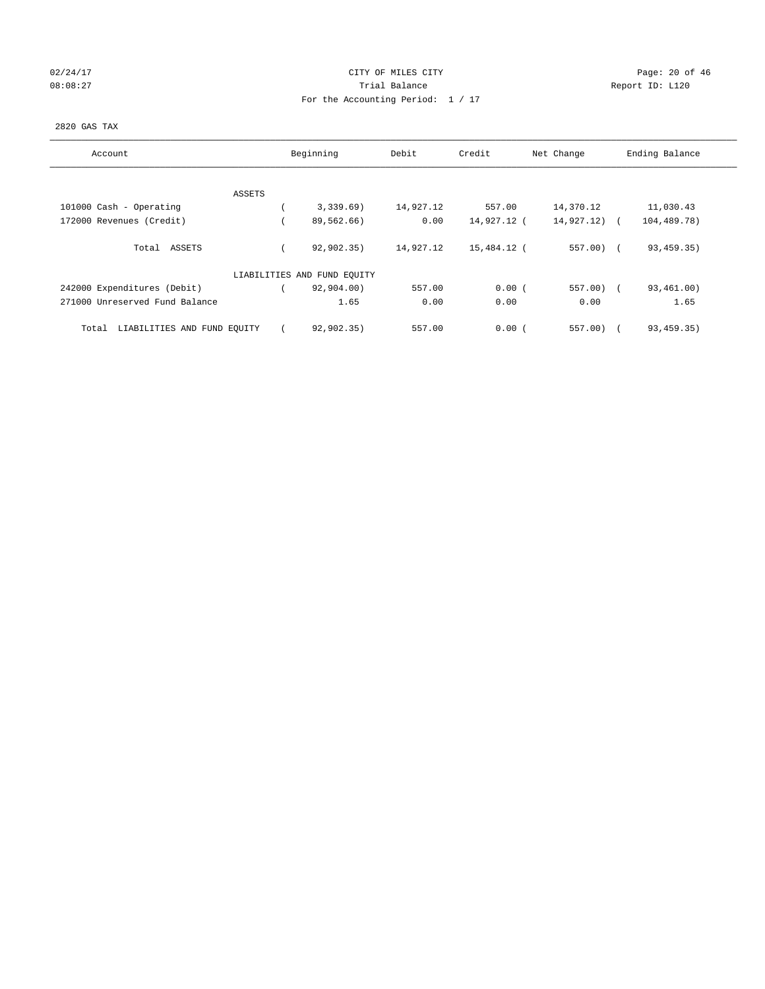# 02/24/17 Page: 20 of 46 08:08:27 CONSERVATION Report ID: L120 For the Accounting Period: 1 / 17

#### 2820 GAS TAX

| Account                              | Beginning                   | Debit     | Credit      | Net Change | Ending Balance         |
|--------------------------------------|-----------------------------|-----------|-------------|------------|------------------------|
|                                      |                             |           |             |            |                        |
| ASSETS                               |                             |           |             |            |                        |
| 101000 Cash - Operating              | 3,339.69)                   | 14,927.12 | 557.00      | 14,370.12  | 11,030.43              |
| 172000 Revenues (Credit)             | 89,562.66)                  | 0.00      | 14,927.12 ( | 14,927.12) | 104,489.78)            |
| Total ASSETS                         | 92, 902, 35)                | 14,927.12 | 15,484.12 ( | $557.00$ ( | 93, 459. 35)           |
|                                      | LIABILITIES AND FUND EQUITY |           |             |            |                        |
| 242000 Expenditures (Debit)          | 92,904.00)                  | 557.00    | 0.00(       | $557.00$ ( | 93,461.00)             |
| 271000 Unreserved Fund Balance       | 1.65                        | 0.00      | 0.00        | 0.00       | 1.65                   |
| LIABILITIES AND FUND EOUITY<br>Total | 92,902.35)                  | 557.00    | 0.00(       | 557.00)    | 93, 459. 35)<br>$\sim$ |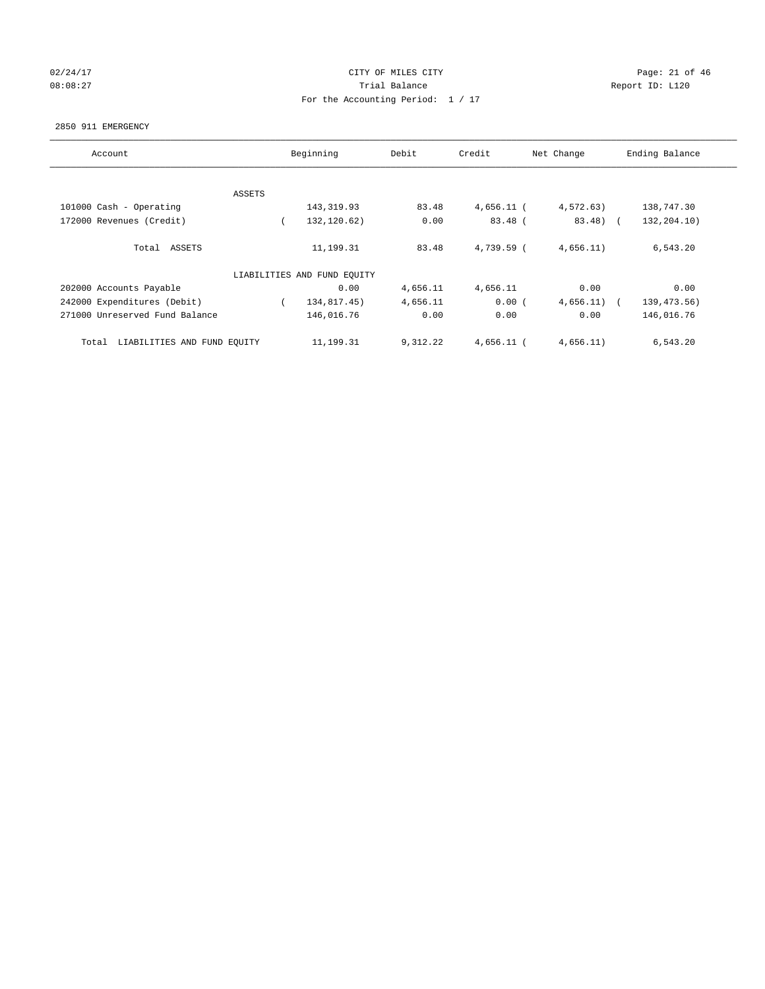#### 02/24/17 Page: 21 of 46 08:08:27 COMPOSERT TRIAL BALANCE REPORT ID: L120 For the Accounting Period: 1 / 17

#### 2850 911 EMERGENCY

| Account                              |        | Beginning                   | Debit    | Credit       | Net Change | Ending Balance             |
|--------------------------------------|--------|-----------------------------|----------|--------------|------------|----------------------------|
|                                      |        |                             |          |              |            |                            |
|                                      | ASSETS |                             |          |              |            |                            |
| 101000 Cash - Operating              |        | 143, 319.93                 | 83.48    | $4,656.11$ ( | 4,572.63)  | 138,747.30                 |
| 172000 Revenues (Credit)             |        | 132,120.62)                 | 0.00     | $83.48$ (    | 83.48) (   | 132,204.10)                |
| Total ASSETS                         |        | 11,199.31                   | 83.48    | $4.739.59$ ( | 4,656.11)  | 6,543.20                   |
|                                      |        | LIABILITIES AND FUND EQUITY |          |              |            |                            |
| 202000 Accounts Payable              |        | 0.00                        | 4,656.11 | 4,656.11     | 0.00       | 0.00                       |
| 242000 Expenditures (Debit)          |        | 134,817.45)                 | 4,656.11 | 0.00(        | 4,656.11)  | 139, 473.56)<br>$\sqrt{2}$ |
| 271000 Unreserved Fund Balance       |        | 146,016.76                  | 0.00     | 0.00         | 0.00       | 146,016.76                 |
| LIABILITIES AND FUND EQUITY<br>Total |        | 11,199.31                   | 9,312.22 | $4.656.11$ ( | 4,656.11)  | 6,543.20                   |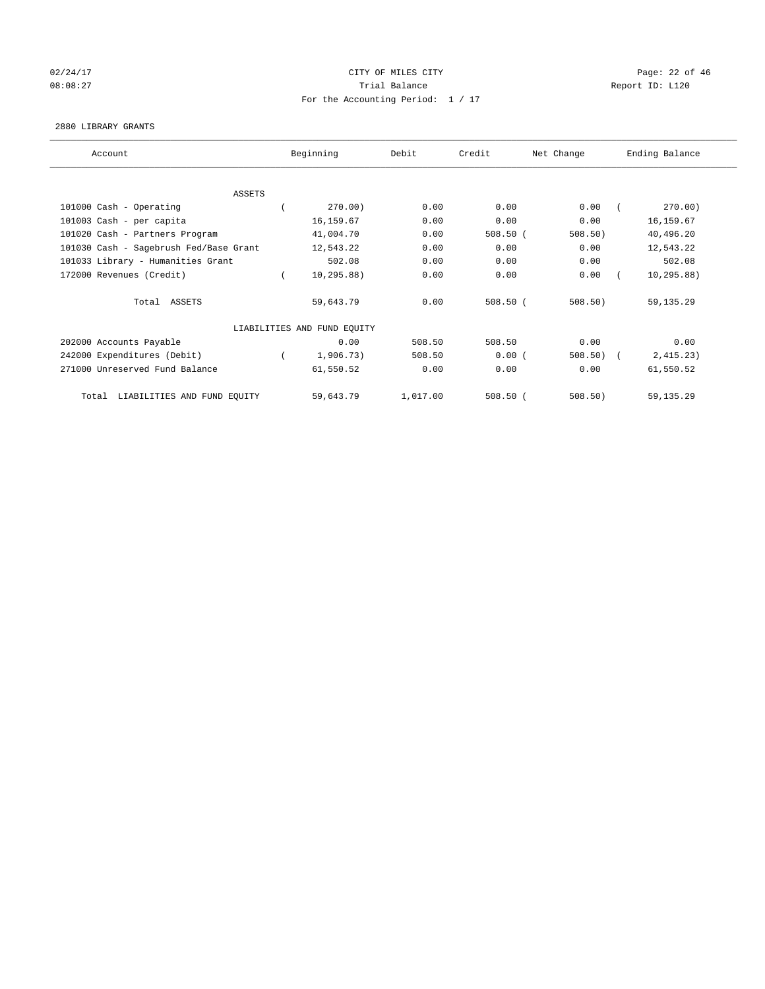# 02/24/17 Page: 22 of 46 08:08:27 Channel Balance Trial Balance Report ID: L120 For the Accounting Period: 1 / 17

#### 2880 LIBRARY GRANTS

| Account                                | Beginning                   | Debit    | Credit     | Net Change | Ending Balance |
|----------------------------------------|-----------------------------|----------|------------|------------|----------------|
|                                        |                             |          |            |            |                |
| <b>ASSETS</b>                          |                             |          |            |            |                |
| 101000 Cash - Operating                | 270.00)                     | 0.00     | 0.00       | 0.00       | 270.00)        |
| 101003 Cash - per capita               | 16,159.67                   | 0.00     | 0.00       | 0.00       | 16, 159.67     |
| 101020 Cash - Partners Program         | 41,004.70                   | 0.00     | $508.50$ ( | $508.50$ ) | 40,496.20      |
| 101030 Cash - Sagebrush Fed/Base Grant | 12,543.22                   | 0.00     | 0.00       | 0.00       | 12,543.22      |
| 101033 Library - Humanities Grant      | 502.08                      | 0.00     | 0.00       | 0.00       | 502.08         |
| 172000 Revenues (Credit)               | 10, 295.88)                 | 0.00     | 0.00       | 0.00       | 10, 295.88)    |
| Total ASSETS                           | 59,643.79                   | 0.00     | $508.50$ ( | 508.50     | 59, 135.29     |
|                                        | LIABILITIES AND FUND EQUITY |          |            |            |                |
| 202000 Accounts Payable                | 0.00                        | 508.50   | 508.50     | 0.00       | 0.00           |
| 242000 Expenditures (Debit)            | 1,906.73)                   | 508.50   | 0.00(      | 508.50     | 2,415.23)      |
| 271000 Unreserved Fund Balance         | 61,550.52                   | 0.00     | 0.00       | 0.00       | 61,550.52      |
| LIABILITIES AND FUND EQUITY<br>Total   | 59,643.79                   | 1,017.00 | $508.50$ ( | 508.50)    | 59, 135.29     |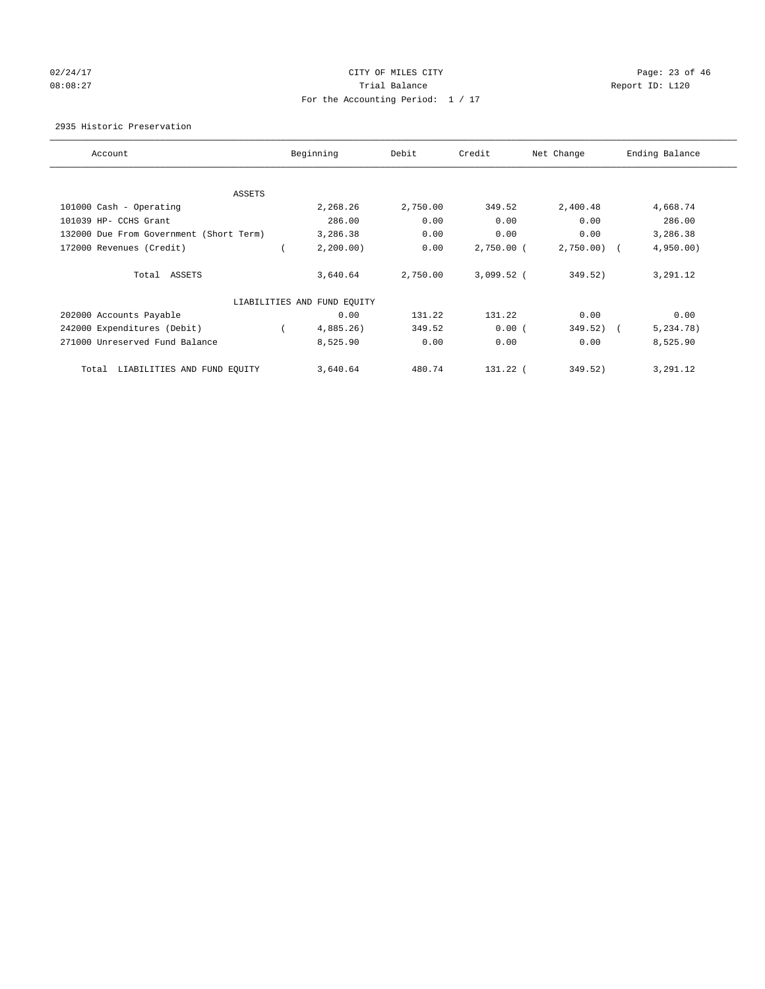# 02/24/17 Page: 23 of 46 08:08:27 Channel Balance Trial Balance Report ID: L120 For the Accounting Period: 1 / 17

2935 Historic Preservation

| Account                                 | Beginning                   | Debit    | Credit       | Net Change   | Ending Balance |
|-----------------------------------------|-----------------------------|----------|--------------|--------------|----------------|
| ASSETS                                  |                             |          |              |              |                |
| 101000 Cash - Operating                 | 2,268.26                    | 2,750.00 | 349.52       | 2,400.48     | 4,668.74       |
| 101039 HP- CCHS Grant                   | 286.00                      | 0.00     | 0.00         | 0.00         | 286.00         |
| 132000 Due From Government (Short Term) | 3,286.38                    | 0.00     | 0.00         | 0.00         | 3,286.38       |
| 172000 Revenues (Credit)                | 2, 200.00)                  | 0.00     | $2,750.00$ ( | 2,750.00     | 4,950.00       |
| Total ASSETS                            | 3,640.64                    | 2,750.00 | $3,099.52$ ( | 349.52)      | 3,291.12       |
|                                         | LIABILITIES AND FUND EQUITY |          |              |              |                |
| 202000 Accounts Payable                 | 0.00                        | 131.22   | 131.22       | 0.00         | 0.00           |
| 242000 Expenditures (Debit)             | 4,885.26)                   | 349.52   | 0.00(        | $349.52$ ) ( | 5,234.78)      |
| 271000 Unreserved Fund Balance          | 8,525.90                    | 0.00     | 0.00         | 0.00         | 8,525.90       |
| LIABILITIES AND FUND EQUITY<br>Total    | 3,640.64                    | 480.74   | 131.22 (     | 349.52)      | 3,291.12       |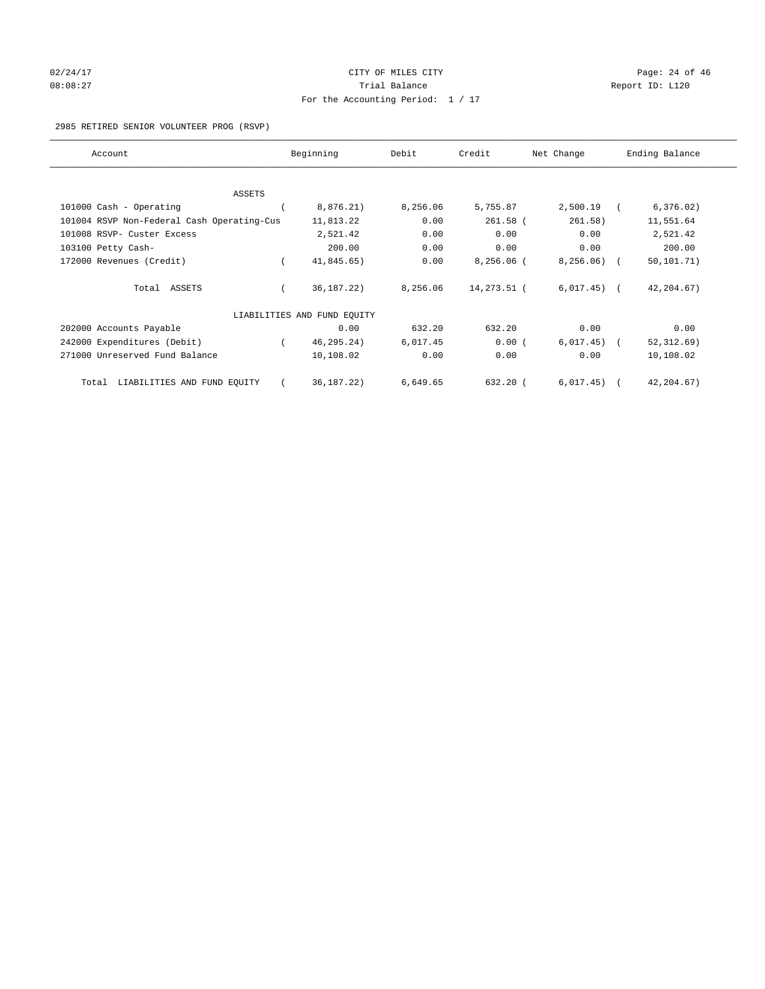# $02/24/17$  Page: 24 of 46 08:08:27 Channel Balance Trial Balance Report ID: L120 For the Accounting Period: 1 / 17

#### 2985 RETIRED SENIOR VOLUNTEER PROG (RSVP)

| Account                                    | Beginning                   | Debit    | Credit       | Net Change    | Ending Balance |
|--------------------------------------------|-----------------------------|----------|--------------|---------------|----------------|
|                                            |                             |          |              |               |                |
| <b>ASSETS</b>                              |                             |          |              |               |                |
| 101000 Cash - Operating                    | 8,876.21)                   | 8,256.06 | 5,755.87     | 2,500.19      | 6, 376.02)     |
| 101004 RSVP Non-Federal Cash Operating-Cus | 11,813.22                   | 0.00     | $261.58$ (   | 261.58)       | 11,551.64      |
| 101008 RSVP- Custer Excess                 | 2,521.42                    | 0.00     | 0.00         | 0.00          | 2,521.42       |
| 103100 Petty Cash-                         | 200.00                      | 0.00     | 0.00         | 0.00          | 200.00         |
| 172000 Revenues (Credit)                   | 41,845.65)                  | 0.00     | $8,256.06$ ( | 8, 256.06)    | 50, 101.71)    |
| Total ASSETS                               | 36, 187. 22)                | 8,256.06 | 14,273.51 (  | $6,017.45)$ ( | 42, 204.67)    |
|                                            | LIABILITIES AND FUND EOUITY |          |              |               |                |
| 202000 Accounts Payable                    | 0.00                        | 632.20   | 632.20       | 0.00          | 0.00           |
| 242000 Expenditures (Debit)                | 46, 295. 24)                | 6,017.45 | 0.00(        | 6,017.45)     | 52, 312.69)    |
| 271000 Unreserved Fund Balance             | 10,108.02                   | 0.00     | 0.00         | 0.00          | 10,108.02      |
| LIABILITIES AND FUND EQUITY<br>Total       | 36, 187. 22)                | 6,649.65 | $632.20$ (   | 6,017.45)     | 42, 204.67)    |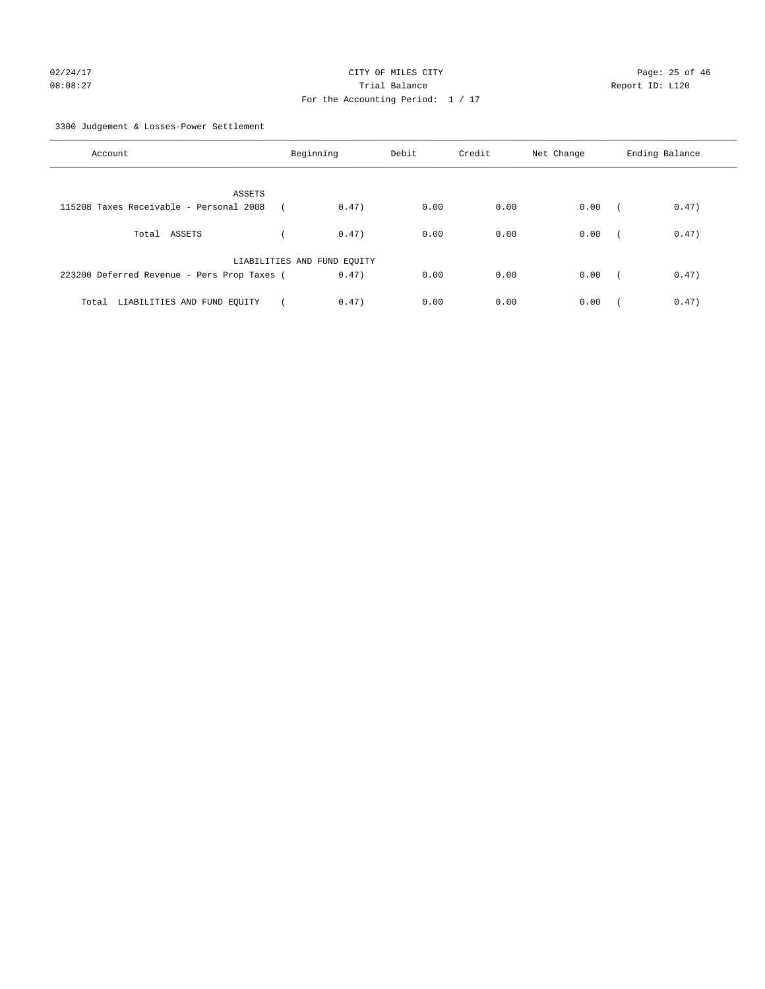3300 Judgement & Losses-Power Settlement

| Account                                     | Beginning                   | Debit | Credit | Net Change | Ending Balance                    |
|---------------------------------------------|-----------------------------|-------|--------|------------|-----------------------------------|
| ASSETS                                      |                             |       |        |            |                                   |
| 115208 Taxes Receivable - Personal 2008     | 0.47)                       | 0.00  | 0.00   | 0.00       | 0.47)<br>$\sqrt{2}$               |
| Total ASSETS                                | 0.47)                       | 0.00  | 0.00   | 0.00       | 0.47)<br>$\sqrt{ }$               |
|                                             | LIABILITIES AND FUND EQUITY |       |        |            |                                   |
| 223200 Deferred Revenue - Pers Prop Taxes ( | 0.47)                       | 0.00  | 0.00   | 0.00       | 0.47)<br>$\overline{\phantom{a}}$ |
| Total LIABILITIES AND FUND EQUITY           | 0.47)                       | 0.00  | 0.00   | 0.00       | 0.47)                             |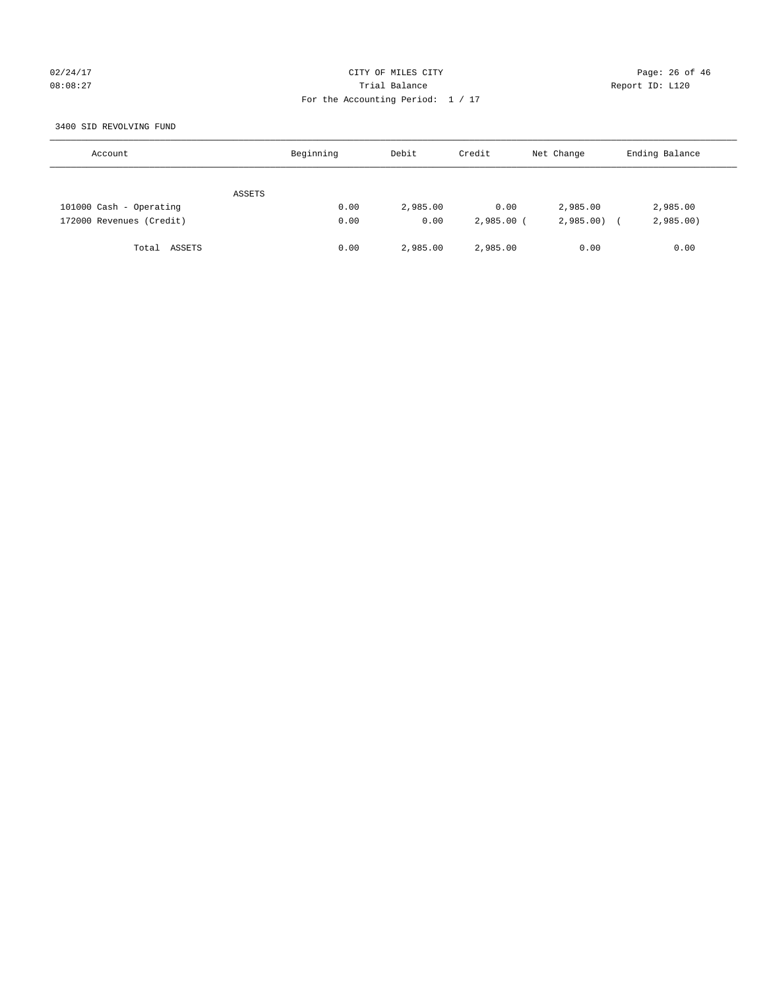#### 02/24/17 Page: 26 of 46 08:08:27 Trial Balance Report ID: L120 For the Accounting Period: 1 / 17

3400 SID REVOLVING FUND

| Account                  | Beginning | Debit    | Credit       | Net Change | Ending Balance |
|--------------------------|-----------|----------|--------------|------------|----------------|
| ASSETS                   |           |          |              |            |                |
| 101000 Cash - Operating  | 0.00      | 2,985.00 | 0.00         | 2,985.00   | 2,985.00       |
| 172000 Revenues (Credit) | 0.00      | 0.00     | $2,985.00$ ( | 2,985.00   | 2,985.00       |
| Total ASSETS             | 0.00      | 2,985.00 | 2,985.00     | 0.00       | 0.00           |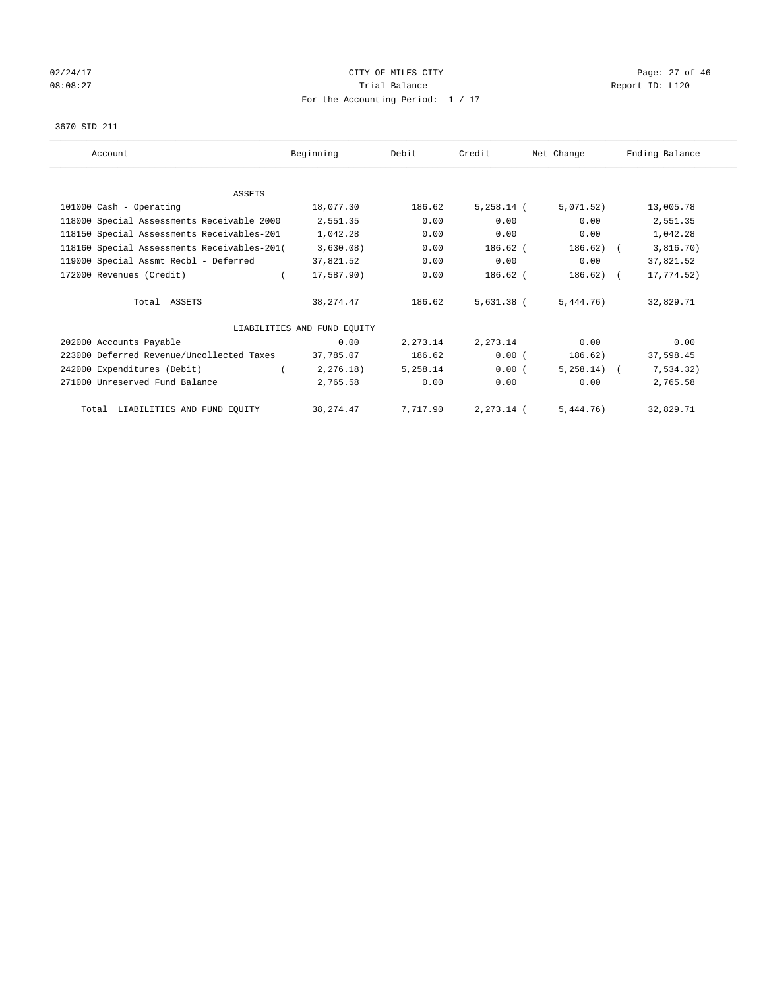# $02/24/17$  Page: 27 of 46 08:08:27 COMPOSERT TRIAL BALANCE REPORT ID: L120 For the Accounting Period: 1 / 17

#### 3670 SID 211

| Account                                     | Beginning                   | Debit    | Credit       | Net Change     | Ending Balance |
|---------------------------------------------|-----------------------------|----------|--------------|----------------|----------------|
|                                             |                             |          |              |                |                |
| <b>ASSETS</b>                               |                             |          |              |                |                |
| 101000 Cash - Operating                     | 18,077.30                   | 186.62   | $5,258.14$ ( | 5,071.52)      | 13,005.78      |
| 118000 Special Assessments Receivable 2000  | 2,551.35                    | 0.00     | 0.00         | 0.00           | 2,551.35       |
| 118150 Special Assessments Receivables-201  | 1,042.28                    | 0.00     | 0.00         | 0.00           | 1,042.28       |
| 118160 Special Assessments Receivables-201( | 3,630.08)                   | 0.00     | 186.62 (     | 186.62)        | 3,816.70)      |
| 119000 Special Assmt Recbl - Deferred       | 37,821.52                   | 0.00     | 0.00         | 0.00           | 37,821.52      |
| 172000 Revenues (Credit)                    | 17,587.90)                  | 0.00     | 186.62 (     | $186.62$ ) (   | 17,774.52)     |
| Total ASSETS                                | 38, 274.47                  | 186.62   | 5,631.38 (   | 5,444.76)      | 32,829.71      |
|                                             | LIABILITIES AND FUND EQUITY |          |              |                |                |
| 202000 Accounts Payable                     | 0.00                        | 2,273.14 | 2,273.14     | 0.00           | 0.00           |
| 223000 Deferred Revenue/Uncollected Taxes   | 37,785.07                   | 186.62   | 0.00(        | 186.62)        | 37,598.45      |
| 242000 Expenditures (Debit)                 | 2, 276.18)                  | 5,258.14 | 0.00(        | $5.258.14$ ) ( | 7,534.32)      |
| 271000 Unreserved Fund Balance              | 2,765.58                    | 0.00     | 0.00         | 0.00           | 2,765.58       |
| Total LIABILITIES AND FUND EQUITY           | 38, 274.47                  | 7,717.90 | 2,273.14 (   | 5,444.76)      | 32,829.71      |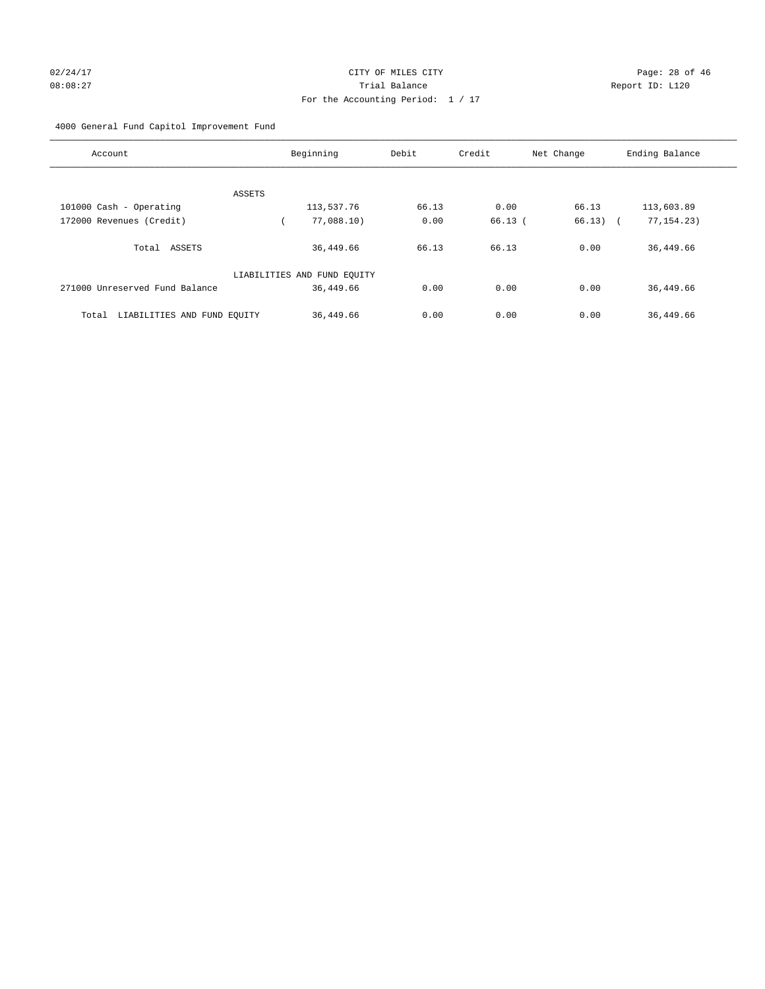4000 General Fund Capitol Improvement Fund

| Account                              | Beginning                   | Debit | Credit | Net Change | Ending Balance |
|--------------------------------------|-----------------------------|-------|--------|------------|----------------|
|                                      |                             |       |        |            |                |
|                                      | ASSETS                      |       |        |            |                |
| 101000 Cash - Operating              | 113,537.76                  | 66.13 | 0.00   | 66.13      | 113,603.89     |
| 172000 Revenues (Credit)             | 77,088.10)                  | 0.00  | 66.13( | $66.13)$ ( | 77, 154. 23)   |
| Total ASSETS                         | 36,449.66                   | 66.13 | 66.13  | 0.00       | 36,449.66      |
|                                      | LIABILITIES AND FUND EQUITY |       |        |            |                |
| 271000 Unreserved Fund Balance       | 36,449.66                   | 0.00  | 0.00   | 0.00       | 36,449.66      |
| LIABILITIES AND FUND EQUITY<br>Total | 36,449.66                   | 0.00  | 0.00   | 0.00       | 36,449.66      |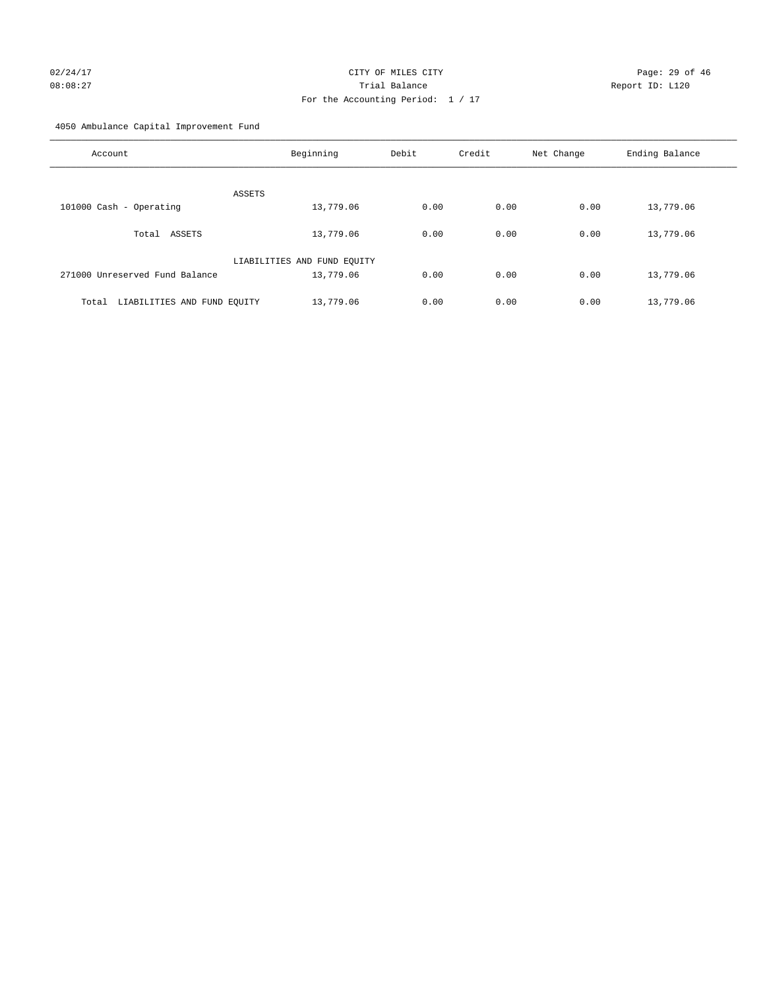# For the Accounting Period: 1 / 17

4050 Ambulance Capital Improvement Fund

| Account                              | Beginning                   | Debit | Credit | Net Change | Ending Balance |
|--------------------------------------|-----------------------------|-------|--------|------------|----------------|
| ASSETS                               |                             |       |        |            |                |
| 101000 Cash - Operating              | 13,779.06                   | 0.00  | 0.00   | 0.00       | 13,779.06      |
| Total ASSETS                         | 13,779.06                   | 0.00  | 0.00   | 0.00       | 13,779.06      |
|                                      | LIABILITIES AND FUND EQUITY |       |        |            |                |
| 271000 Unreserved Fund Balance       | 13,779.06                   | 0.00  | 0.00   | 0.00       | 13,779.06      |
| LIABILITIES AND FUND EQUITY<br>Total | 13,779.06                   | 0.00  | 0.00   | 0.00       | 13,779.06      |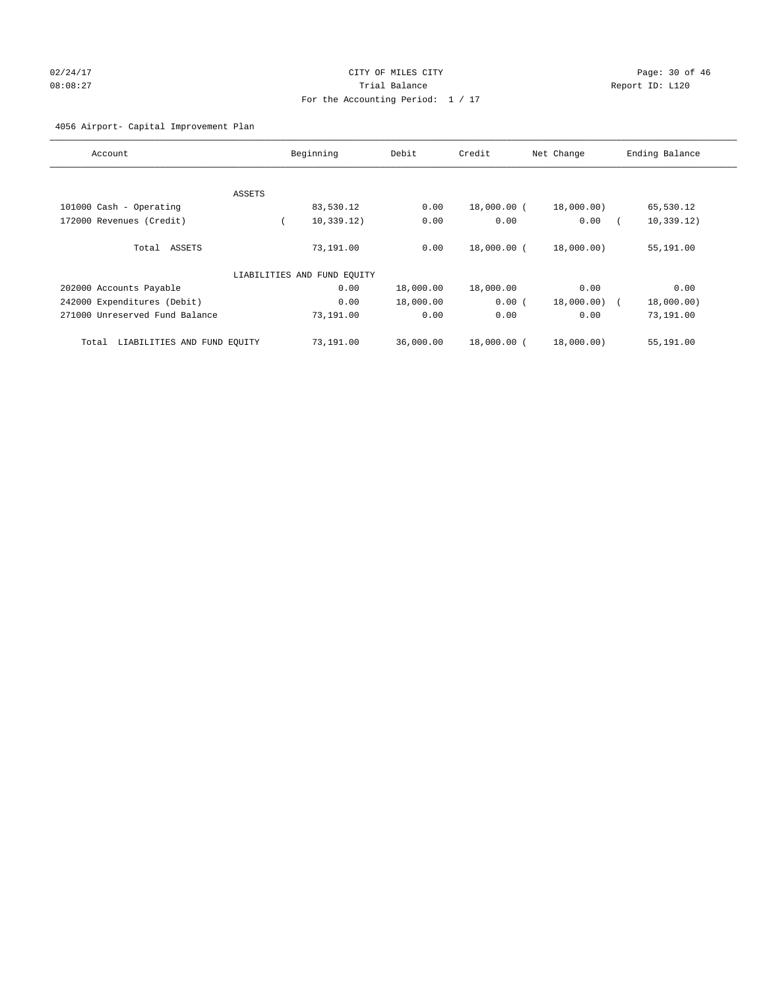# 02/24/17 Page: 30 of 46 08:08:27 Trial Balance Report ID: L120 For the Accounting Period: 1 / 17

#### 4056 Airport- Capital Improvement Plan

| Account                              |                             | Beginning   | Debit     | Credit      | Net Change | Ending Balance |
|--------------------------------------|-----------------------------|-------------|-----------|-------------|------------|----------------|
|                                      |                             |             |           |             |            |                |
|                                      | ASSETS                      |             |           |             |            |                |
| 101000 Cash - Operating              |                             | 83,530.12   | 0.00      | 18,000.00 ( | 18,000.00) | 65,530.12      |
| 172000 Revenues (Credit)             |                             | 10, 339.12) | 0.00      | 0.00        | 0.00       | 10, 339.12)    |
| Total ASSETS                         |                             | 73,191.00   | 0.00      | 18,000.00 ( | 18,000.00) | 55,191.00      |
|                                      | LIABILITIES AND FUND EQUITY |             |           |             |            |                |
| 202000 Accounts Payable              |                             | 0.00        | 18,000.00 | 18,000.00   | 0.00       | 0.00           |
| 242000 Expenditures (Debit)          |                             | 0.00        | 18,000.00 | 0.00(       | 18,000.00) | 18,000.00)     |
| 271000 Unreserved Fund Balance       |                             | 73,191.00   | 0.00      | 0.00        | 0.00       | 73,191.00      |
| LIABILITIES AND FUND EQUITY<br>Total |                             | 73,191.00   | 36,000.00 | 18,000.00 ( | 18,000.00) | 55,191.00      |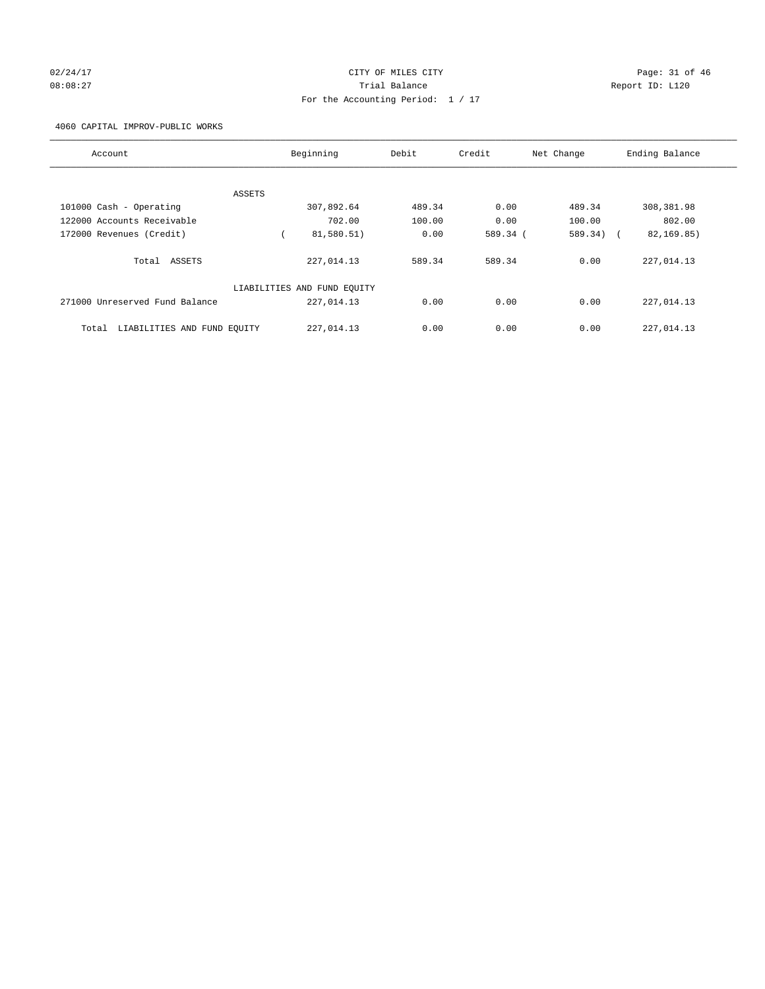# 02/24/17 Page: 31 of 46 08:08:27 Trial Balance Report ID: L120 For the Accounting Period: 1 / 17

4060 CAPITAL IMPROV-PUBLIC WORKS

| Account                              | Beginning                   | Debit  | Credit   | Net Change | Ending Balance |
|--------------------------------------|-----------------------------|--------|----------|------------|----------------|
|                                      |                             |        |          |            |                |
| ASSETS                               |                             |        |          |            |                |
| 101000 Cash - Operating              | 307,892.64                  | 489.34 | 0.00     | 489.34     | 308,381.98     |
| 122000 Accounts Receivable           | 702.00                      | 100.00 | 0.00     | 100.00     | 802.00         |
| 172000 Revenues (Credit)             | 81,580.51)                  | 0.00   | 589.34 ( | 589.34) (  | 82,169.85)     |
| Total ASSETS                         | 227,014.13                  | 589.34 | 589.34   | 0.00       | 227,014.13     |
|                                      | LIABILITIES AND FUND EQUITY |        |          |            |                |
| 271000 Unreserved Fund Balance       | 227,014.13                  | 0.00   | 0.00     | 0.00       | 227,014.13     |
| LIABILITIES AND FUND EQUITY<br>Total | 227,014.13                  | 0.00   | 0.00     | 0.00       | 227,014.13     |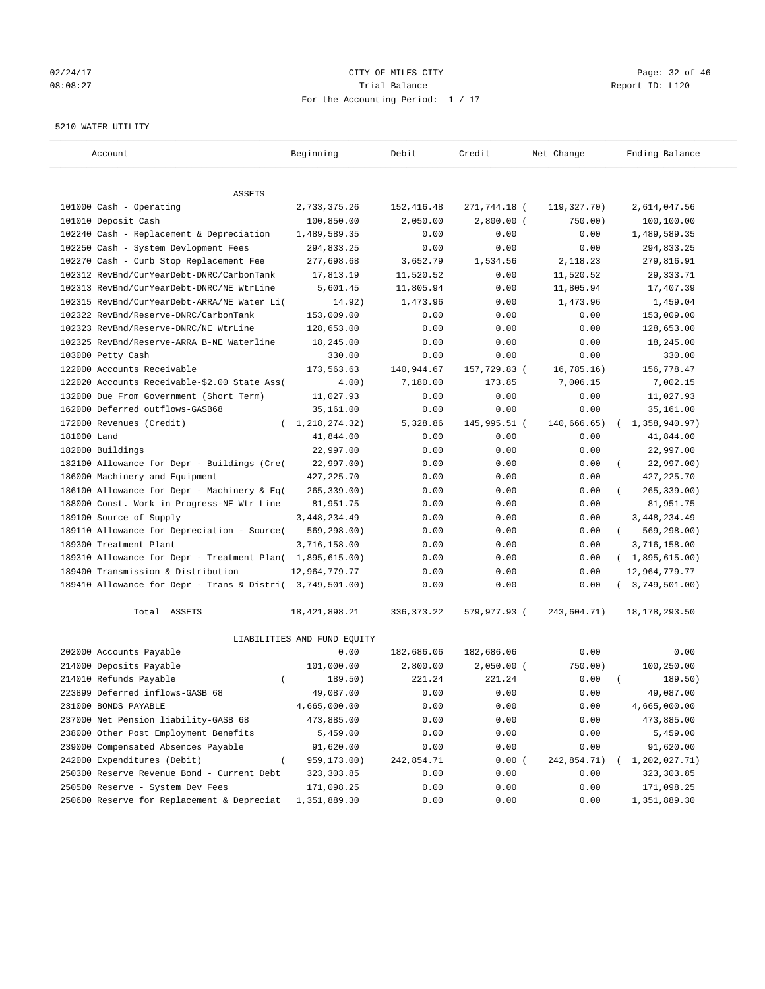#### 02/24/17 Page: 32 of 46 08:08:27 Trial Balance Report ID: L120 For the Accounting Period: 1 / 17

#### 5210 WATER UTILITY

| Account                                                   | Beginning                   | Debit        | Credit       | Net Change    | Ending Balance          |
|-----------------------------------------------------------|-----------------------------|--------------|--------------|---------------|-------------------------|
| ASSETS                                                    |                             |              |              |               |                         |
| 101000 Cash - Operating                                   | 2,733,375.26                | 152,416.48   | 271,744.18 ( | 119, 327. 70) | 2,614,047.56            |
| 101010 Deposit Cash                                       | 100,850.00                  | 2,050.00     | $2,800.00$ ( | 750.00)       | 100,100.00              |
| 102240 Cash - Replacement & Depreciation                  | 1,489,589.35                | 0.00         | 0.00         | 0.00          | 1,489,589.35            |
| 102250 Cash - System Devlopment Fees                      | 294,833.25                  | 0.00         | 0.00         | 0.00          | 294,833.25              |
| 102270 Cash - Curb Stop Replacement Fee                   | 277,698.68                  | 3,652.79     | 1,534.56     | 2,118.23      | 279,816.91              |
| 102312 RevBnd/CurYearDebt-DNRC/CarbonTank                 | 17,813.19                   | 11,520.52    | 0.00         | 11,520.52     | 29, 333.71              |
| 102313 RevBnd/CurYearDebt-DNRC/NE WtrLine                 | 5,601.45                    | 11,805.94    | 0.00         | 11,805.94     | 17,407.39               |
| 102315 RevBnd/CurYearDebt-ARRA/NE Water Li(               | 14.92)                      | 1,473.96     | 0.00         | 1,473.96      | 1,459.04                |
| 102322 RevBnd/Reserve-DNRC/CarbonTank                     | 153,009.00                  | 0.00         | 0.00         | 0.00          | 153,009.00              |
| 102323 RevBnd/Reserve-DNRC/NE WtrLine                     | 128,653.00                  | 0.00         | 0.00         | 0.00          | 128,653.00              |
| 102325 RevBnd/Reserve-ARRA B-NE Waterline                 | 18,245.00                   | 0.00         | 0.00         | 0.00          | 18,245.00               |
| 103000 Petty Cash                                         | 330.00                      | 0.00         | 0.00         | 0.00          | 330.00                  |
| 122000 Accounts Receivable                                | 173,563.63                  | 140,944.67   | 157,729.83 ( | 16, 785.16)   | 156,778.47              |
| 122020 Accounts Receivable-\$2.00 State Ass(              | 4.00)                       | 7,180.00     | 173.85       | 7,006.15      | 7,002.15                |
| 132000 Due From Government (Short Term)                   | 11,027.93                   | 0.00         | 0.00         | 0.00          | 11,027.93               |
| 162000 Deferred outflows-GASB68                           | 35,161.00                   | 0.00         | 0.00         | 0.00          | 35,161.00               |
| 172000 Revenues (Credit)                                  | (1, 218, 274.32)            | 5,328.86     | 145,995.51 ( | 140,666.65)   | 1,358,940.97)           |
| 181000 Land                                               | 41,844.00                   | 0.00         | 0.00         | 0.00          | 41,844.00               |
| 182000 Buildings                                          | 22,997.00                   | 0.00         | 0.00         | 0.00          | 22,997.00               |
| 182100 Allowance for Depr - Buildings (Cre(               | 22,997.00)                  | 0.00         | 0.00         | 0.00          | 22,997.00)              |
| 186000 Machinery and Equipment                            | 427, 225.70                 | 0.00         | 0.00         | 0.00          | 427, 225.70             |
| 186100 Allowance for Depr - Machinery & Eq(               | 265, 339.00)                | 0.00         | 0.00         | 0.00          | $265, 339.00$ )         |
| 188000 Const. Work in Progress-NE Wtr Line                | 81,951.75                   | 0.00         | 0.00         | 0.00          | 81,951.75               |
| 189100 Source of Supply                                   | 3, 448, 234.49              | 0.00         | 0.00         | 0.00          | 3,448,234.49            |
| 189110 Allowance for Depreciation - Source(               | 569,298.00)                 | 0.00         | 0.00         | 0.00          | 569,298.00)<br>$\left($ |
| 189300 Treatment Plant                                    | 3,716,158.00                | 0.00         | 0.00         | 0.00          | 3,716,158.00            |
| 189310 Allowance for Depr - Treatment Plan(               | 1,895,615.00)               | 0.00         | 0.00         | 0.00          | (1,895,615.00)          |
| 189400 Transmission & Distribution                        | 12,964,779.77               | 0.00         | 0.00         | 0.00          | 12,964,779.77           |
| 189410 Allowance for Depr - Trans & Distri( 3,749,501.00) |                             | 0.00         | 0.00         | 0.00          | 3,749,501.00)           |
| Total ASSETS                                              | 18, 421, 898. 21            | 336, 373. 22 | 579,977.93 ( | 243,604.71)   | 18, 178, 293.50         |
|                                                           | LIABILITIES AND FUND EQUITY |              |              |               |                         |
| 202000 Accounts Payable                                   | 0.00                        | 182,686.06   | 182,686.06   | 0.00          | 0.00                    |
| 214000 Deposits Payable                                   | 101,000.00                  | 2,800.00     | $2,050.00$ ( | 750.00)       | 100,250.00              |
| 214010 Refunds Payable<br>$\left($                        | 189.50)                     | 221.24       | 221.24       | 0.00          | 189.50)                 |
| 223899 Deferred inflows-GASB 68                           | 49,087.00                   | 0.00         | 0.00         | 0.00          | 49,087.00               |
| 231000 BONDS PAYABLE                                      | 4,665,000.00                | 0.00         | 0.00         | 0.00          | 4,665,000.00            |
| 237000 Net Pension liability-GASB 68                      | 473,885.00                  | 0.00         | 0.00         | 0.00          | 473,885.00              |
| 238000 Other Post Employment Benefits                     | 5,459.00                    | 0.00         | 0.00         | 0.00          | 5,459.00                |
| 239000 Compensated Absences Payable                       | 91,620.00                   | 0.00         | 0.00         | 0.00          | 91,620.00               |
| 242000 Expenditures (Debit)                               | 959,173.00)                 | 242,854.71   | 0.00(        | 242,854.71)   | 1,202,027.71)           |
| 250300 Reserve Revenue Bond - Current Debt                | 323, 303.85                 | 0.00         | 0.00         | 0.00          | 323, 303.85             |
| 250500 Reserve - System Dev Fees                          | 171,098.25                  | 0.00         | 0.00         | 0.00          | 171,098.25              |
| 250600 Reserve for Replacement & Depreciat                | 1,351,889.30                | 0.00         | 0.00         | 0.00          | 1,351,889.30            |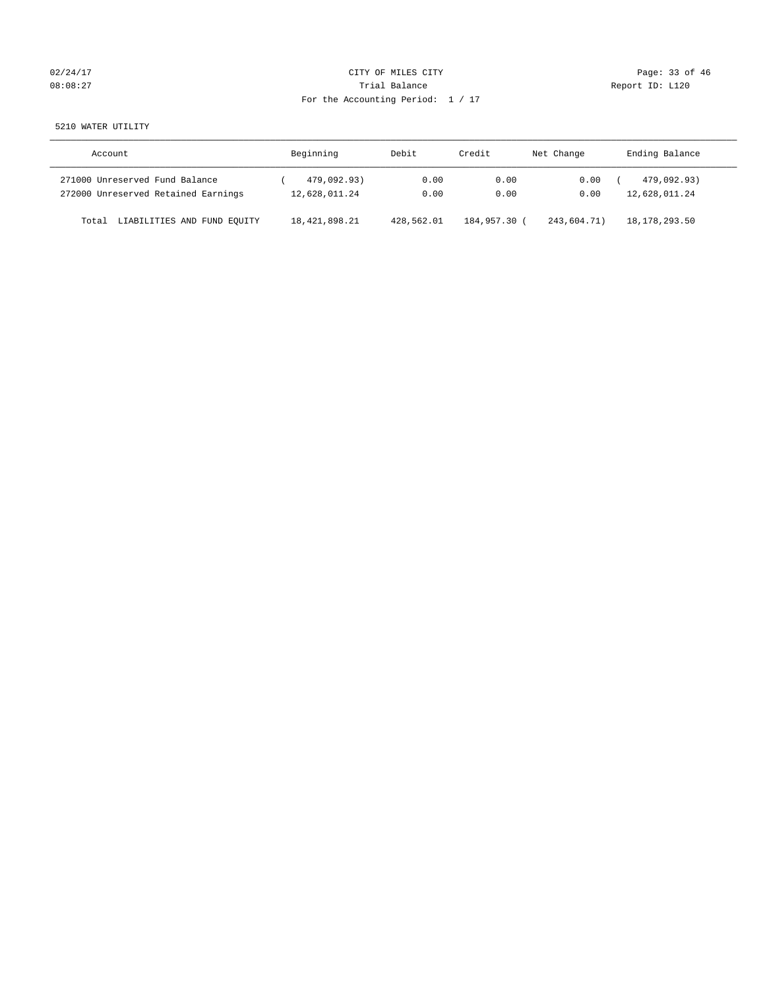| 02/24/17 |  |
|----------|--|
| 08:08:27 |  |

# CITY OF MILES CITY CONTROL CONTROL CONTROL CITY CONTROL Page: 33 of 46 Partial Balance and Communications of the Report ID: L120 For the Accounting Period: 1 / 17

5210 WATER UTILITY

| Account                              | Beginning        | Debit      | Credit       | Net Change  | Ending Balance  |
|--------------------------------------|------------------|------------|--------------|-------------|-----------------|
| 271000 Unreserved Fund Balance       | 479,092.93)      | 0.00       | 0.00         | 0.00        | 479,092.93)     |
| 272000 Unreserved Retained Earnings  | 12,628,011.24    | 0.00       | 0.00         | 0.00        | 12,628,011.24   |
| LIABILITIES AND FUND EQUITY<br>Total | 18, 421, 898. 21 | 428,562.01 | 184,957.30 ( | 243,604.71) | 18, 178, 293.50 |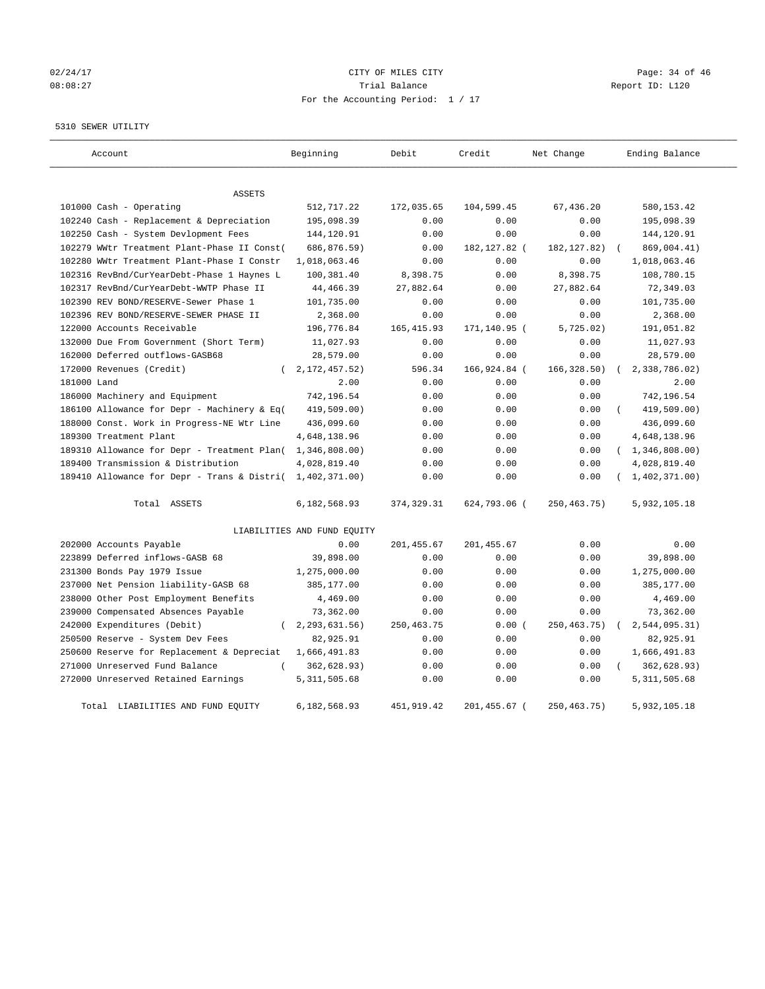# 02/24/17 Page: 34 of 46 08:08:27 Trial Balance Report ID: L120 For the Accounting Period: 1 / 17

#### 5310 SEWER UTILITY

| Account                                                   | Beginning                   | Debit        | Credit        | Net Change    | Ending Balance   |
|-----------------------------------------------------------|-----------------------------|--------------|---------------|---------------|------------------|
| <b>ASSETS</b>                                             |                             |              |               |               |                  |
| 101000 Cash - Operating                                   | 512,717.22                  | 172,035.65   | 104,599.45    | 67,436.20     | 580,153.42       |
| 102240 Cash - Replacement & Depreciation                  | 195,098.39                  | 0.00         | 0.00          | 0.00          | 195,098.39       |
| 102250 Cash - System Devlopment Fees                      | 144,120.91                  | 0.00         | 0.00          | 0.00          | 144,120.91       |
| 102279 WWtr Treatment Plant-Phase II Const(               | 686,876.59)                 | 0.00         | 182, 127.82 ( | 182, 127.82)  | 869,004.41)      |
| 102280 WWtr Treatment Plant-Phase I Constr                | 1,018,063.46                | 0.00         | 0.00          | 0.00          | 1,018,063.46     |
| 102316 RevBnd/CurYearDebt-Phase 1 Haynes L                | 100,381.40                  | 8,398.75     | 0.00          | 8,398.75      | 108,780.15       |
| 102317 RevBnd/CurYearDebt-WWTP Phase II                   | 44, 466. 39                 | 27,882.64    | 0.00          | 27,882.64     | 72,349.03        |
| 102390 REV BOND/RESERVE-Sewer Phase 1                     | 101,735.00                  | 0.00         | 0.00          | 0.00          | 101,735.00       |
| 102396 REV BOND/RESERVE-SEWER PHASE II                    | 2,368.00                    | 0.00         | 0.00          | 0.00          | 2,368.00         |
| 122000 Accounts Receivable                                | 196,776.84                  | 165, 415.93  | 171,140.95 (  | 5,725.02)     | 191,051.82       |
| 132000 Due From Government (Short Term)                   | 11,027.93                   | 0.00         | 0.00          | 0.00          | 11,027.93        |
| 162000 Deferred outflows-GASB68                           | 28,579.00                   | 0.00         | 0.00          | 0.00          | 28,579.00        |
| 172000 Revenues (Credit)<br>$\left($                      | 2, 172, 457.52)             | 596.34       | 166,924.84 (  | 166, 328.50)  | 2,338,786.02)    |
| 181000 Land                                               | 2.00                        | 0.00         | 0.00          | 0.00          | 2.00             |
| 186000 Machinery and Equipment                            | 742,196.54                  | 0.00         | 0.00          | 0.00          | 742,196.54       |
| 186100 Allowance for Depr - Machinery & Eq(               | 419,509.00)                 | 0.00         | 0.00          | 0.00          | 419,509.00)      |
| 188000 Const. Work in Progress-NE Wtr Line                | 436,099.60                  | 0.00         | 0.00          | 0.00          | 436,099.60       |
| 189300 Treatment Plant                                    | 4,648,138.96                | 0.00         | 0.00          | 0.00          | 4,648,138.96     |
| 189310 Allowance for Depr - Treatment Plan( 1,346,808.00) |                             | 0.00         | 0.00          | 0.00          | (1, 346, 808.00) |
| 189400 Transmission & Distribution                        | 4,028,819.40                | 0.00         | 0.00          | 0.00          | 4,028,819.40     |
| 189410 Allowance for Depr - Trans & Distri(               | 1,402,371.00)               | 0.00         | 0.00          | 0.00          | 1,402,371.00     |
| Total ASSETS                                              | 6,182,568.93                | 374, 329.31  | 624,793.06 (  | 250, 463. 75) | 5,932,105.18     |
|                                                           | LIABILITIES AND FUND EQUITY |              |               |               |                  |
| 202000 Accounts Payable                                   | 0.00                        | 201, 455.67  | 201,455.67    | 0.00          | 0.00             |
| 223899 Deferred inflows-GASB 68                           | 39,898.00                   | 0.00         | 0.00          | 0.00          | 39,898.00        |
| 231300 Bonds Pay 1979 Issue                               | 1,275,000.00                | 0.00         | 0.00          | 0.00          | 1,275,000.00     |
| 237000 Net Pension liability-GASB 68                      | 385,177.00                  | 0.00         | 0.00          | 0.00          | 385,177.00       |
| 238000 Other Post Employment Benefits                     | 4,469.00                    | 0.00         | 0.00          | 0.00          | 4,469.00         |
| 239000 Compensated Absences Payable                       | 73,362.00                   | 0.00         | 0.00          | 0.00          | 73,362.00        |
| 242000 Expenditures (Debit)<br>$\left($                   | 2, 293, 631.56)             | 250, 463. 75 | 0.00(         | 250, 463. 75) | 2,544,095.31)    |
| 250500 Reserve - System Dev Fees                          | 82,925.91                   | 0.00         | 0.00          | 0.00          | 82,925.91        |
| 250600 Reserve for Replacement & Depreciat                | 1,666,491.83                | 0.00         | 0.00          | 0.00          | 1,666,491.83     |
| 271000 Unreserved Fund Balance<br>$\left($                | 362,628.93)                 | 0.00         | 0.00          | 0.00          | 362,628.93)      |
| 272000 Unreserved Retained Earnings                       | 5, 311, 505.68              | 0.00         | 0.00          | 0.00          | 5, 311, 505.68   |
| Total LIABILITIES AND FUND EQUITY                         | 6,182,568.93                | 451,919.42   | 201,455.67 (  | 250, 463. 75) | 5,932,105.18     |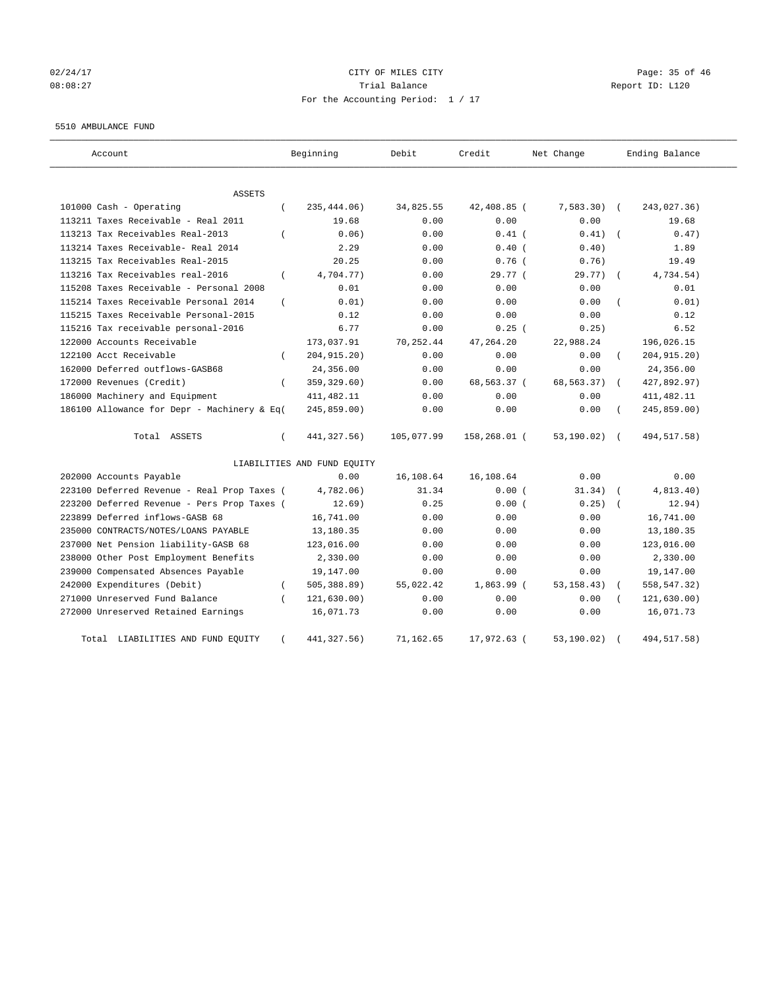# 02/24/17 Page: 35 of 46 08:08:27 Trial Balance Report ID: L120 For the Accounting Period: 1 / 17

#### 5510 AMBULANCE FUND

| Account                                                   | Beginning                   | Debit      | Credit       | Net Change   | Ending Balance            |
|-----------------------------------------------------------|-----------------------------|------------|--------------|--------------|---------------------------|
| <b>ASSETS</b>                                             |                             |            |              |              |                           |
| 101000 Cash - Operating<br>$\left($                       | 235,444.06)                 | 34,825.55  | 42,408.85 (  | $7,583.30$ ( | 243,027.36)               |
| 113211 Taxes Receivable - Real 2011                       | 19.68                       | 0.00       | 0.00         | 0.00         | 19.68                     |
| 113213 Tax Receivables Real-2013                          | 0.06                        | 0.00       | $0.41$ (     | 0.41)        | 0.47)                     |
| 113214 Taxes Receivable- Real 2014                        | 2.29                        | 0.00       | $0.40$ (     | 0.40)        | 1.89                      |
| 113215 Tax Receivables Real-2015                          | 20.25                       | 0.00       | $0.76$ (     | 0.76)        | 19.49                     |
| 113216 Tax Receivables real-2016<br>$\left($              | 4,704.77)                   | 0.00       | 29.77 (      | $29.77$ ) (  | 4,734.54)                 |
| 115208 Taxes Receivable - Personal 2008                   | 0.01                        | 0.00       | 0.00         | 0.00         | 0.01                      |
| 115214 Taxes Receivable Personal 2014<br>$\overline{(\ }$ | 0.01)                       | 0.00       | 0.00         | 0.00         | 0.01)                     |
| 115215 Taxes Receivable Personal-2015                     | 0.12                        | 0.00       | 0.00         | 0.00         | 0.12                      |
| 115216 Tax receivable personal-2016                       | 6.77                        | 0.00       | $0.25$ (     | 0.25)        | 6.52                      |
| 122000 Accounts Receivable                                | 173,037.91                  | 70,252.44  | 47,264.20    | 22,988.24    | 196,026.15                |
| 122100 Acct Receivable<br>$\left($                        | 204, 915. 20)               | 0.00       | 0.00         | 0.00         | 204, 915.20)              |
| 162000 Deferred outflows-GASB68                           | 24,356.00                   | 0.00       | 0.00         | 0.00         | 24,356.00                 |
| 172000 Revenues (Credit)<br>$\overline{ }$                | 359, 329.60)                | 0.00       | 68,563.37 (  | 68,563.37)   | 427,892.97)<br>$\sqrt{2}$ |
| 186000 Machinery and Equipment                            | 411, 482.11                 | 0.00       | 0.00         | 0.00         | 411, 482.11               |
| 186100 Allowance for Depr - Machinery & Eq(               | 245,859.00)                 | 0.00       | 0.00         | 0.00         | 245,859.00)               |
| Total ASSETS<br>$\left($                                  | 441, 327.56)                | 105,077.99 | 158,268.01 ( | 53,190.02) ( | 494,517.58)               |
|                                                           | LIABILITIES AND FUND EQUITY |            |              |              |                           |
| 202000 Accounts Payable                                   | 0.00                        | 16,108.64  | 16,108.64    | 0.00         | 0.00                      |
| 223100 Deferred Revenue - Real Prop Taxes (               | 4,782.06)                   | 31.34      | 0.00(        | 31.34)       | 4,813.40)                 |
| 223200 Deferred Revenue - Pers Prop Taxes (               | 12.69)                      | 0.25       | 0.00(        | 0.25)        | 12.94)                    |
| 223899 Deferred inflows-GASB 68                           | 16,741.00                   | 0.00       | 0.00         | 0.00         | 16,741.00                 |
| 235000 CONTRACTS/NOTES/LOANS PAYABLE                      | 13,180.35                   | 0.00       | 0.00         | 0.00         | 13,180.35                 |
| 237000 Net Pension liability-GASB 68                      | 123,016.00                  | 0.00       | 0.00         | 0.00         | 123,016.00                |
| 238000 Other Post Employment Benefits                     | 2,330.00                    | 0.00       | 0.00         | 0.00         | 2,330.00                  |
| 239000 Compensated Absences Payable                       | 19,147.00                   | 0.00       | 0.00         | 0.00         | 19,147.00                 |
| 242000 Expenditures (Debit)<br>$\left($                   | 505, 388.89)                | 55,022.42  | $1,863.99$ ( | 53, 158.43)  | 558, 547.32)              |
| 271000 Unreserved Fund Balance                            | 121, 630.00)                | 0.00       | 0.00         | 0.00         | 121,630.00)               |
| 272000 Unreserved Retained Earnings                       | 16,071.73                   | 0.00       | 0.00         | 0.00         | 16,071.73                 |
| Total LIABILITIES AND FUND EQUITY<br>$\left($             | 441, 327.56)                | 71,162.65  | 17,972.63 (  | 53,190.02)   | 494, 517.58)              |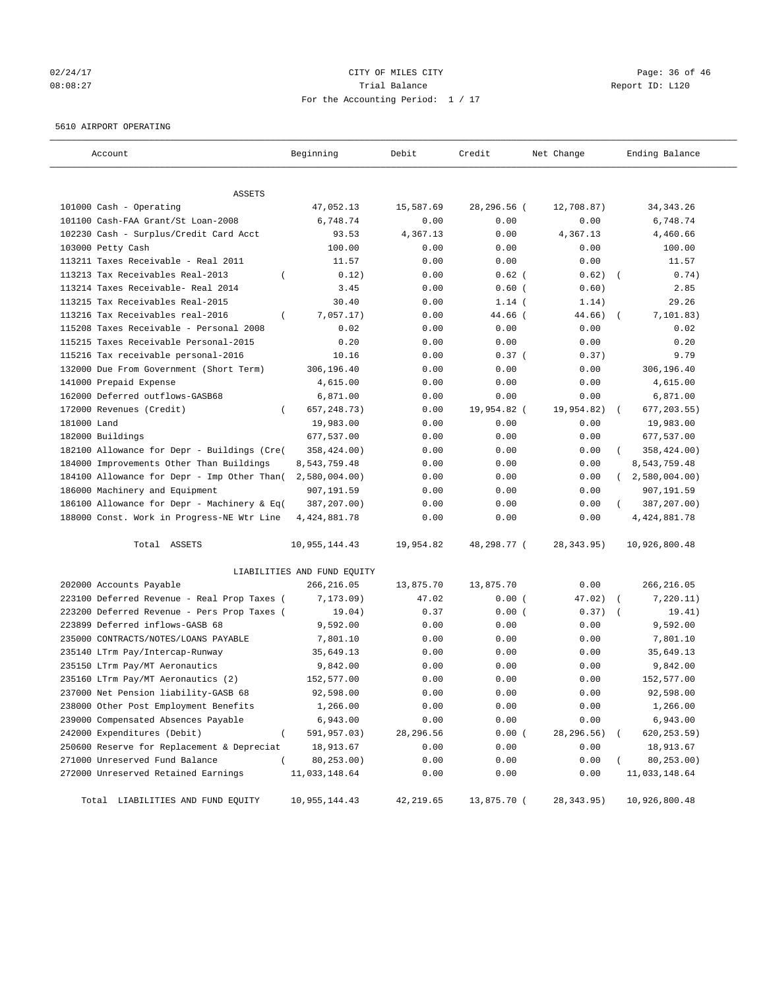# 02/24/17 Page: 36 of 46 08:08:27 Trial Balance Report ID: L120 For the Accounting Period: 1 / 17

#### 5610 AIRPORT OPERATING

| Account                                        | Beginning                   | Debit      | Credit      | Net Change  | Ending Balance           |
|------------------------------------------------|-----------------------------|------------|-------------|-------------|--------------------------|
| ASSETS                                         |                             |            |             |             |                          |
| 101000 Cash - Operating                        | 47,052.13                   | 15,587.69  | 28,296.56 ( | 12,708.87)  | 34, 343. 26              |
| 101100 Cash-FAA Grant/St Loan-2008             | 6,748.74                    | 0.00       | 0.00        | 0.00        | 6,748.74                 |
| 102230 Cash - Surplus/Credit Card Acct         | 93.53                       | 4,367.13   | 0.00        | 4,367.13    | 4,460.66                 |
| 103000 Petty Cash                              | 100.00                      | 0.00       | 0.00        | 0.00        | 100.00                   |
| 113211 Taxes Receivable - Real 2011            | 11.57                       | 0.00       | 0.00        | 0.00        | 11.57                    |
| 113213 Tax Receivables Real-2013               | 0.12)                       | 0.00       | $0.62$ (    | 0.62)       | 0.74)                    |
| 113214 Taxes Receivable- Real 2014             | 3.45                        | 0.00       | $0.60$ (    | 0.60)       | 2.85                     |
| 113215 Tax Receivables Real-2015               | 30.40                       | 0.00       | $1.14$ (    | 1.14)       | 29.26                    |
| 113216 Tax Receivables real-2016<br>$\left($   | 7,057.17)                   | 0.00       | 44.66 (     | 44.66)      | 7,101.83)                |
| 115208 Taxes Receivable - Personal 2008        | 0.02                        | 0.00       | 0.00        | 0.00        | 0.02                     |
| 115215 Taxes Receivable Personal-2015          | 0.20                        | 0.00       | 0.00        | 0.00        | 0.20                     |
| 115216 Tax receivable personal-2016            | 10.16                       | 0.00       | 0.37(       | 0.37)       | 9.79                     |
| 132000 Due From Government (Short Term)        | 306,196.40                  | 0.00       | 0.00        | 0.00        | 306,196.40               |
| 141000 Prepaid Expense                         | 4,615.00                    | 0.00       | 0.00        | 0.00        | 4,615.00                 |
| 162000 Deferred outflows-GASB68                | 6,871.00                    | 0.00       | 0.00        | 0.00        | 6,871.00                 |
| 172000 Revenues (Credit)                       | 657, 248.73)                | 0.00       | 19,954.82 ( | 19,954.82)  | 677, 203.55)<br>$\left($ |
| 181000 Land                                    | 19,983.00                   | 0.00       | 0.00        | 0.00        | 19,983.00                |
| 182000 Buildings                               | 677,537.00                  | 0.00       | 0.00        | 0.00        | 677,537.00               |
| 182100 Allowance for Depr - Buildings (Cre(    | 358,424.00)                 | 0.00       | 0.00        | 0.00        | 358,424.00)              |
| 184000 Improvements Other Than Buildings       | 8,543,759.48                | 0.00       | 0.00        | 0.00        | 8,543,759.48             |
| 184100 Allowance for Depr - Imp Other Than(    | 2,580,004.00)               | 0.00       | 0.00        | 0.00        | 2,580,004.00             |
| 186000 Machinery and Equipment                 | 907,191.59                  | 0.00       | 0.00        | 0.00        | 907,191.59               |
| 186100 Allowance for Depr - Machinery & Eq(    | 387,207.00)                 | 0.00       | 0.00        | 0.00        | 387,207.00)              |
| 188000 Const. Work in Progress-NE Wtr Line     | 4, 424, 881. 78             | 0.00       | 0.00        | 0.00        | 4, 424, 881.78           |
| Total ASSETS                                   | 10,955,144.43               | 19,954.82  | 48,298.77 ( | 28, 343.95) | 10,926,800.48            |
|                                                | LIABILITIES AND FUND EQUITY |            |             |             |                          |
| 202000 Accounts Payable                        | 266,216.05                  | 13,875.70  | 13,875.70   | 0.00        | 266, 216.05              |
| 223100 Deferred Revenue - Real Prop Taxes (    | 7,173.09)                   | 47.02      | 0.00(       | 47.02)      | 7,220.11)                |
| 223200 Deferred Revenue - Pers Prop Taxes (    | 19.04)                      | 0.37       | 0.00(       | 0.37)       | 19.41)                   |
| 223899 Deferred inflows-GASB 68                | 9,592.00                    | 0.00       | 0.00        | 0.00        | 9,592.00                 |
| 235000 CONTRACTS/NOTES/LOANS PAYABLE           | 7,801.10                    | 0.00       | 0.00        | 0.00        | 7,801.10                 |
| 235140 LTrm Pay/Intercap-Runway                | 35,649.13                   | 0.00       | 0.00        | 0.00        | 35,649.13                |
| 235150 LTrm Pay/MT Aeronautics                 | 9,842.00                    | 0.00       | 0.00        | 0.00        | 9,842.00                 |
| 235160 LTrm Pay/MT Aeronautics (2)             | 152,577.00                  | 0.00       | 0.00        | 0.00        | 152,577.00               |
| 237000 Net Pension liability-GASB 68           | 92,598.00                   | 0.00       | 0.00        | 0.00        | 92,598.00                |
| 238000 Other Post Employment Benefits          | 1,266.00                    | 0.00       | 0.00        | 0.00        | 1,266.00                 |
| 239000 Compensated Absences Payable            | 6,943.00                    | 0.00       | 0.00        | 0.00        | 6,943.00                 |
| 242000 Expenditures (Debit)<br>$\left($        | 591,957.03)                 | 28,296.56  | 0.00(       | 28,296.56)  | 620,253.59)              |
| 250600 Reserve for Replacement & Depreciat     | 18,913.67                   | 0.00       | 0.00        | 0.00        | 18,913.67                |
| 271000 Unreserved Fund Balance<br><sup>-</sup> | 80,253.00)                  | 0.00       | 0.00        | 0.00        | 80, 253.00)              |
| 272000 Unreserved Retained Earnings            | 11,033,148.64               | 0.00       | 0.00        | 0.00        | 11,033,148.64            |
| Total LIABILITIES AND FUND EQUITY              | 10,955,144.43               | 42, 219.65 | 13,875.70 ( | 28,343.95)  | 10,926,800.48            |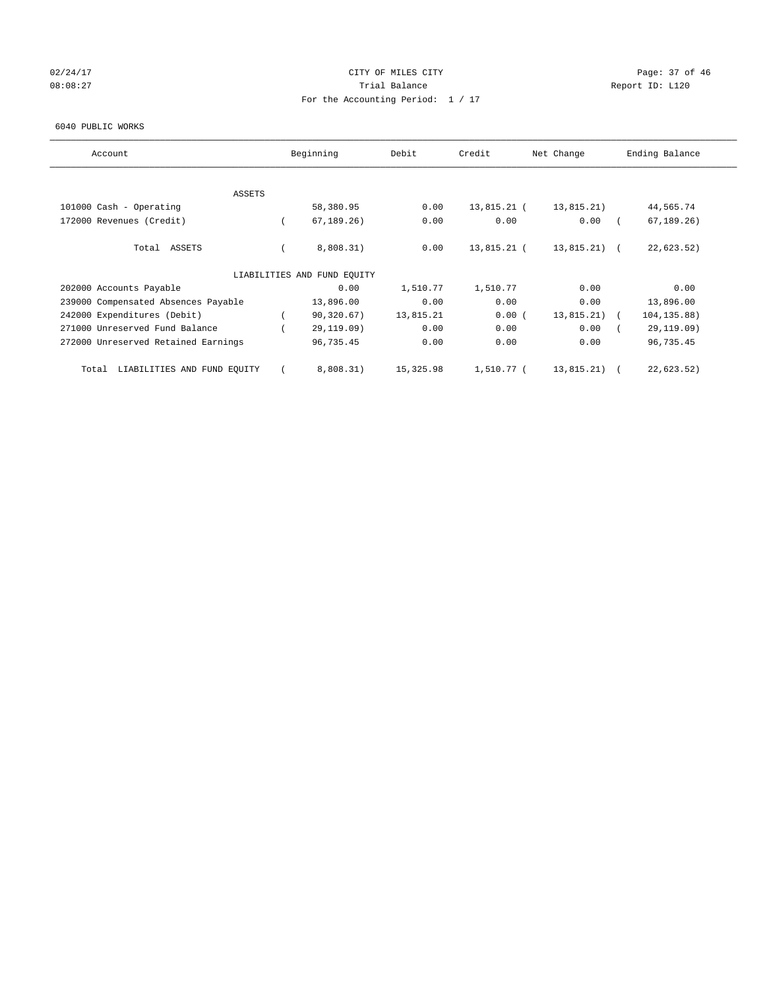## $02/24/17$  Page: 37 of 46 08:08:27 Channel Balance Trial Balance Report ID: L120 For the Accounting Period: 1 / 17

#### 6040 PUBLIC WORKS

| Account                              | Beginning                   | Debit     | Credit      | Net Change     | Ending Balance |
|--------------------------------------|-----------------------------|-----------|-------------|----------------|----------------|
| <b>ASSETS</b>                        |                             |           |             |                |                |
| 101000 Cash - Operating              | 58,380.95                   | 0.00      | 13,815.21 ( | 13,815.21)     | 44,565.74      |
| 172000 Revenues (Credit)             | 67, 189.26)                 | 0.00      | 0.00        | 0.00           | 67, 189.26)    |
| Total ASSETS                         | 8,808.31)                   | 0.00      | 13,815.21 ( | $13,815.21)$ ( | 22,623.52)     |
|                                      | LIABILITIES AND FUND EQUITY |           |             |                |                |
| 202000 Accounts Payable              | 0.00                        | 1,510.77  | 1,510.77    | 0.00           | 0.00           |
| 239000 Compensated Absences Payable  | 13,896.00                   | 0.00      | 0.00        | 0.00           | 13,896.00      |
| 242000 Expenditures (Debit)          | 90,320.67)                  | 13,815.21 | 0.00(       | 13,815.21)     | 104, 135.88)   |
| 271000 Unreserved Fund Balance       | 29,119.09)                  | 0.00      | 0.00        | 0.00           | 29,119.09)     |
| 272000 Unreserved Retained Earnings  | 96,735.45                   | 0.00      | 0.00        | 0.00           | 96,735.45      |
| LIABILITIES AND FUND EQUITY<br>Total | 8,808.31)                   | 15,325.98 | 1,510.77 (  | 13,815.21)     | 22,623.52)     |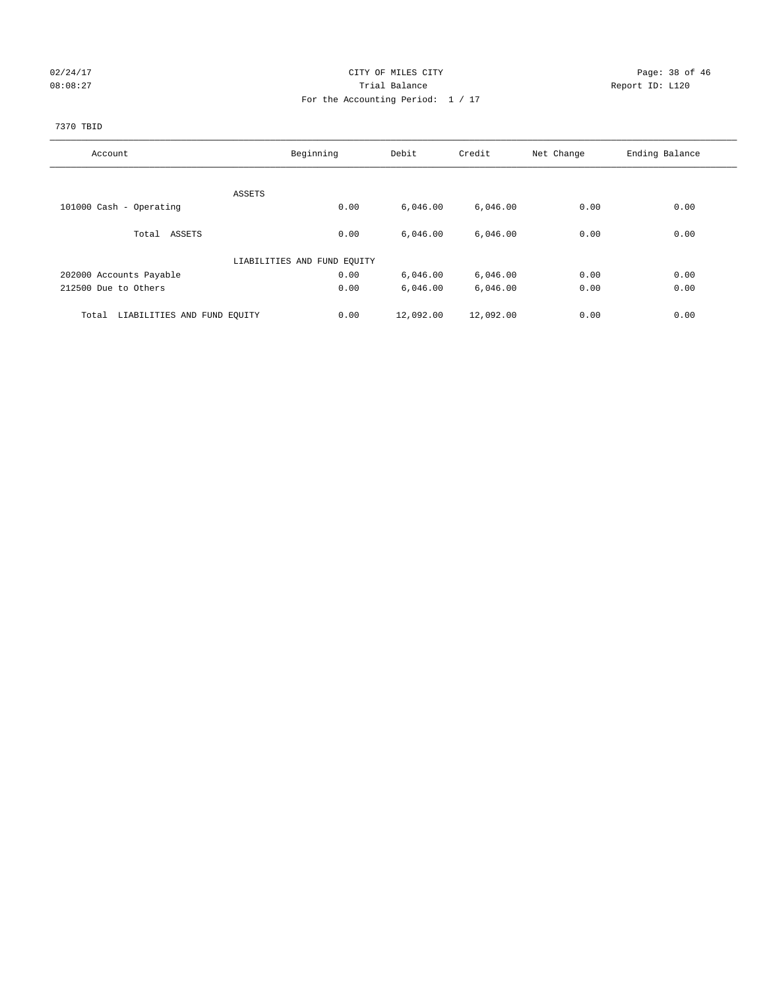#### 02/24/17 Page: 38 of 46 08:08:27 Channel Balance Trial Balance Report ID: L120 For the Accounting Period: 1 / 17

# 7370 TBID

| Account                              | Beginning                   | Debit     | Credit    | Net Change | Ending Balance |
|--------------------------------------|-----------------------------|-----------|-----------|------------|----------------|
|                                      |                             |           |           |            |                |
|                                      | ASSETS                      |           |           |            |                |
| 101000 Cash - Operating              | 0.00                        | 6,046.00  | 6,046.00  | 0.00       | 0.00           |
|                                      |                             |           |           |            |                |
| Total ASSETS                         | 0.00                        | 6,046.00  | 6,046.00  | 0.00       | 0.00           |
|                                      |                             |           |           |            |                |
|                                      | LIABILITIES AND FUND EQUITY |           |           |            |                |
| 202000 Accounts Payable              | 0.00                        | 6,046.00  | 6,046.00  | 0.00       | 0.00           |
| 212500 Due to Others                 | 0.00                        | 6,046.00  | 6,046.00  | 0.00       | 0.00           |
| LIABILITIES AND FUND EQUITY<br>Total | 0.00                        | 12,092.00 | 12,092.00 | 0.00       | 0.00           |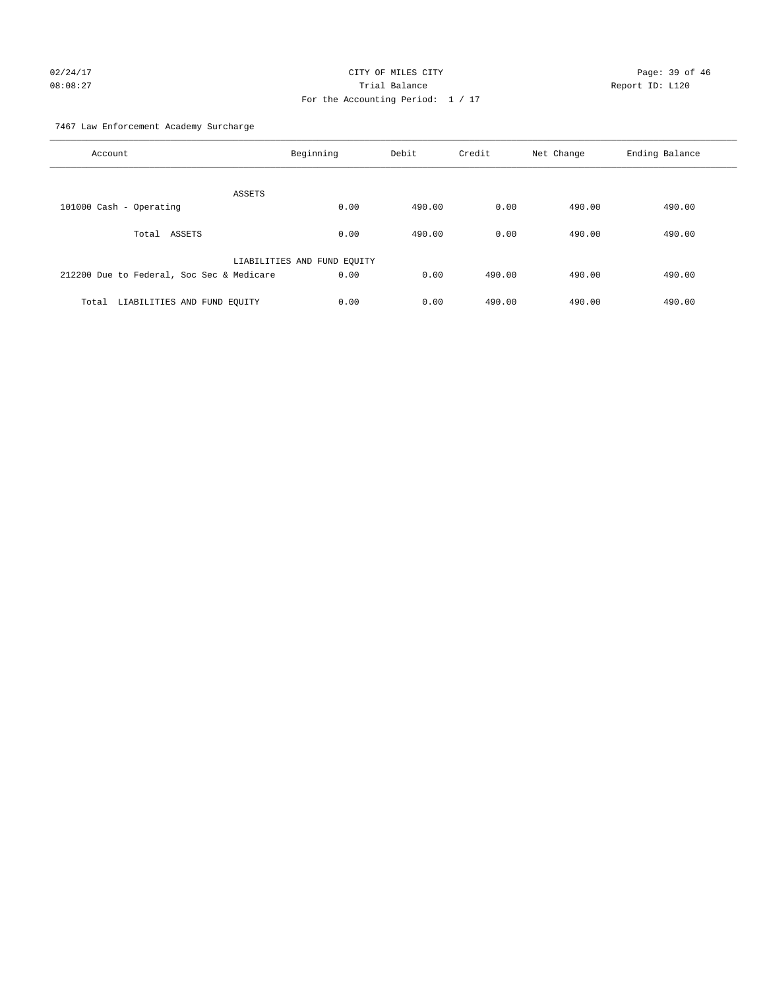# 02/24/17 Page: 39 of 46 08:08:27 Trial Balance Report ID: L120 For the Accounting Period: 1 / 17

7467 Law Enforcement Academy Surcharge

| Account                                   | Beginning                   | Debit  | Credit | Net Change | Ending Balance |
|-------------------------------------------|-----------------------------|--------|--------|------------|----------------|
| ASSETS                                    |                             |        |        |            |                |
| 101000 Cash - Operating                   | 0.00                        | 490.00 | 0.00   | 490.00     | 490.00         |
|                                           |                             |        |        |            |                |
| Total ASSETS                              | 0.00                        | 490.00 | 0.00   | 490.00     | 490.00         |
|                                           | LIABILITIES AND FUND EQUITY |        |        |            |                |
| 212200 Due to Federal, Soc Sec & Medicare | 0.00                        | 0.00   | 490.00 | 490.00     | 490.00         |
|                                           |                             |        |        |            |                |
| LIABILITIES AND FUND EQUITY<br>Total      | 0.00                        | 0.00   | 490.00 | 490.00     | 490.00         |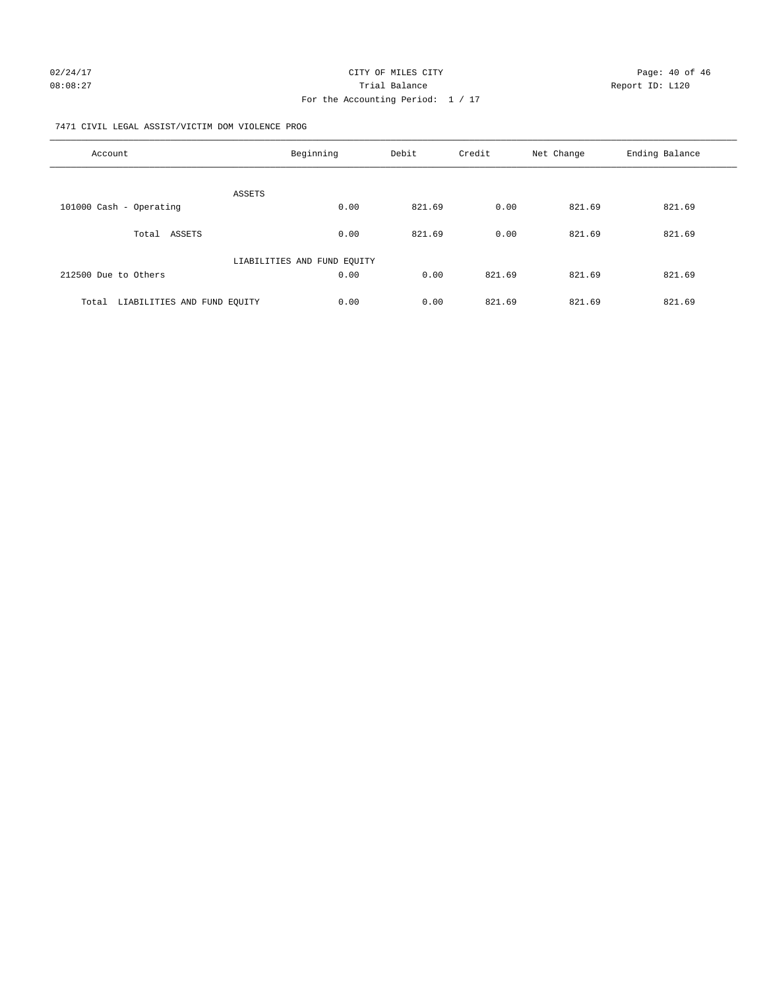#### 7471 CIVIL LEGAL ASSIST/VICTIM DOM VIOLENCE PROG

| Account                              | Beginning                   | Debit  | Credit | Net Change | Ending Balance |
|--------------------------------------|-----------------------------|--------|--------|------------|----------------|
|                                      |                             |        |        |            |                |
| 101000 Cash - Operating              | <b>ASSETS</b><br>0.00       | 821.69 | 0.00   | 821.69     | 821.69         |
| ASSETS<br>Total                      | 0.00                        | 821.69 | 0.00   | 821.69     | 821.69         |
|                                      | LIABILITIES AND FUND EQUITY |        |        |            |                |
| 212500 Due to Others                 | 0.00                        | 0.00   | 821.69 | 821.69     | 821.69         |
| LIABILITIES AND FUND EQUITY<br>Total | 0.00                        | 0.00   | 821.69 | 821.69     | 821.69         |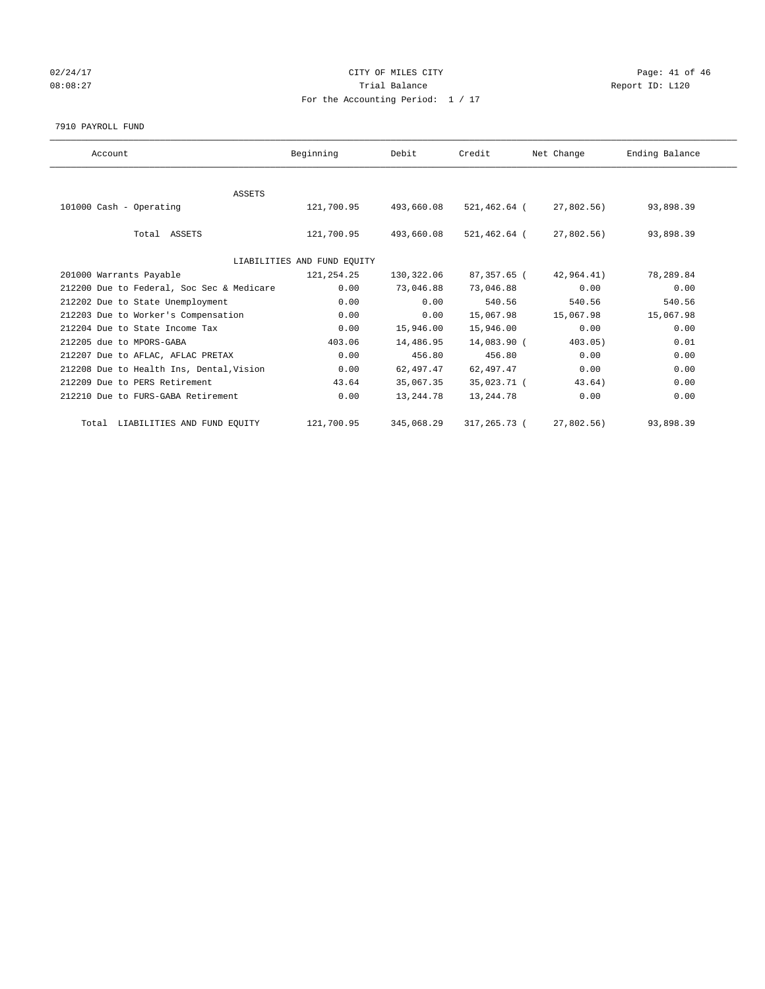# 02/24/17 Page: 41 of 46 08:08:27 COMPOSERT TRIAL BALANCE REPORT ID: L120 For the Accounting Period: 1 / 17

#### 7910 PAYROLL FUND

| Account                                   | Beginning                   | Debit      | Credit       | Net Change    | Ending Balance |
|-------------------------------------------|-----------------------------|------------|--------------|---------------|----------------|
|                                           |                             |            |              |               |                |
| <b>ASSETS</b>                             |                             |            |              |               |                |
| 101000 Cash - Operating                   | 121,700.95                  | 493,660.08 | 521,462.64 ( | 27,802.56)    | 93,898.39      |
|                                           |                             |            |              |               |                |
| Total ASSETS                              | 121,700.95                  | 493,660.08 | 521,462.64 ( | 27,802.56)    | 93,898.39      |
|                                           |                             |            |              |               |                |
|                                           | LIABILITIES AND FUND EQUITY |            |              |               |                |
| 201000 Warrants Payable                   | 121,254.25                  | 130,322.06 | 87,357.65 (  | 42,964.41)    | 78,289.84      |
| 212200 Due to Federal, Soc Sec & Medicare | 0.00                        | 73,046.88  | 73,046.88    | 0.00          | 0.00           |
| 212202 Due to State Unemployment          | 0.00                        | 0.00       | 540.56       | 540.56        | 540.56         |
| 212203 Due to Worker's Compensation       | 0.00                        | 0.00       | 15,067.98    | 15,067.98     | 15,067.98      |
| 212204 Due to State Income Tax            | 0.00                        | 15,946.00  | 15,946.00    | 0.00          | 0.00           |
| 212205 due to MPORS-GABA                  | 403.06                      | 14,486.95  | 14,083.90 (  | 403.05)       | 0.01           |
| 212207 Due to AFLAC, AFLAC PRETAX         | 0.00                        | 456.80     | 456.80       | 0.00          | 0.00           |
| 212208 Due to Health Ins, Dental, Vision  | 0.00                        | 62,497.47  | 62,497.47    | 0.00          | 0.00           |
| 212209 Due to PERS Retirement             | 43.64                       | 35,067.35  | 35,023.71 (  | 43.64)        | 0.00           |
| 212210 Due to FURS-GABA Retirement        | 0.00                        | 13, 244.78 | 13,244.78    | 0.00          | 0.00           |
| Total LIABILITIES AND FUND EQUITY         | 121,700.95                  | 345,068.29 | 317,265.73 ( | $27,802.56$ ) | 93,898.39      |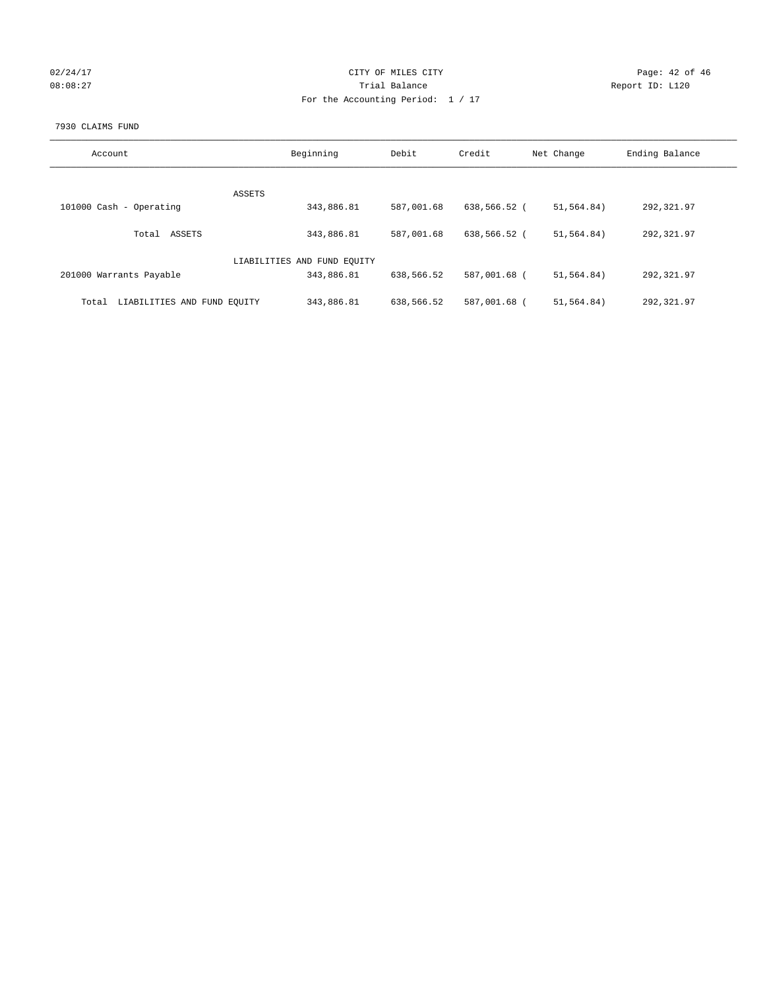| 02/24/17 |  |
|----------|--|
| 08:08:27 |  |

#### CITY OF MILES CITY CONTROL CONTROL CONTROL CITY 08:08:27 Trial Balance Report ID: L120 For the Accounting Period: 1 / 17

#### 7930 CLAIMS FUND

| Account                              | Beginning                   | Debit      | Credit       | Net Change   | Ending Balance |
|--------------------------------------|-----------------------------|------------|--------------|--------------|----------------|
|                                      |                             |            |              |              |                |
|                                      | <b>ASSETS</b>               |            |              |              |                |
| 101000 Cash - Operating              | 343,886.81                  | 587,001.68 | 638,566.52 ( | 51,564.84)   | 292,321.97     |
|                                      |                             |            |              |              |                |
| ASSETS<br>Total                      | 343,886.81                  | 587,001.68 | 638,566.52 ( | 51, 564, 84) | 292, 321.97    |
|                                      |                             |            |              |              |                |
|                                      | LIABILITIES AND FUND EQUITY |            |              |              |                |
| 201000 Warrants Payable              | 343,886.81                  | 638,566.52 | 587,001.68 ( | 51,564.84)   | 292,321.97     |
|                                      |                             |            |              |              |                |
| LIABILITIES AND FUND EQUITY<br>Total | 343,886.81                  | 638,566.52 | 587,001.68 ( | 51, 564, 84) | 292,321.97     |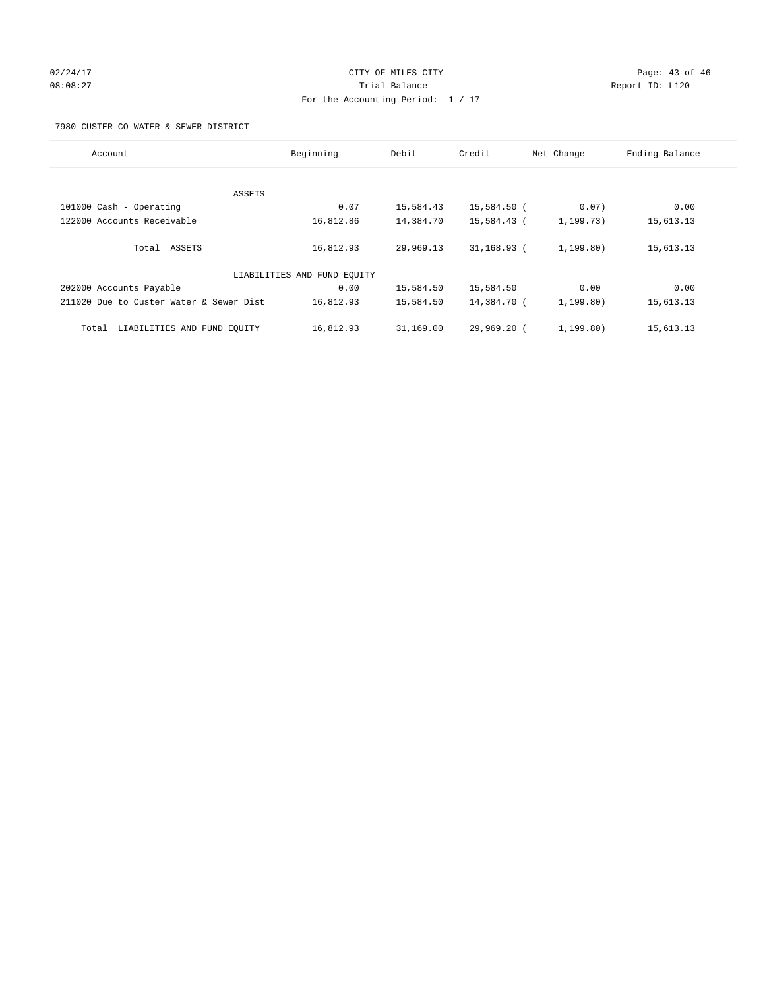# 02/24/17 Page: 43 of 46 08:08:27 Trial Balance Report ID: L120 For the Accounting Period: 1 / 17

7980 CUSTER CO WATER & SEWER DISTRICT

| Account                                 | Beginning                   | Debit     | Credit        | Net Change  | Ending Balance |
|-----------------------------------------|-----------------------------|-----------|---------------|-------------|----------------|
|                                         |                             |           |               |             |                |
| ASSETS                                  |                             |           |               |             |                |
| 101000 Cash - Operating                 | 0.07                        | 15,584.43 | 15,584.50 (   | 0.07)       | 0.00           |
| 122000 Accounts Receivable              | 16,812.86                   | 14,384.70 | 15,584.43 (   | 1, 199.73)  | 15,613.13      |
| Total ASSETS                            | 16,812.93                   | 29,969.13 | $31,168.93$ ( | 1, 199.80)  | 15,613.13      |
|                                         | LIABILITIES AND FUND EQUITY |           |               |             |                |
| 202000 Accounts Payable                 | 0.00                        | 15,584.50 | 15,584.50     | 0.00        | 0.00           |
| 211020 Due to Custer Water & Sewer Dist | 16,812.93                   | 15,584.50 | 14,384.70 (   | 1, 199.80)  | 15,613.13      |
| LIABILITIES AND FUND EQUITY<br>Total    | 16,812.93                   | 31,169.00 | 29,969.20 (   | 1, 199, 80) | 15,613.13      |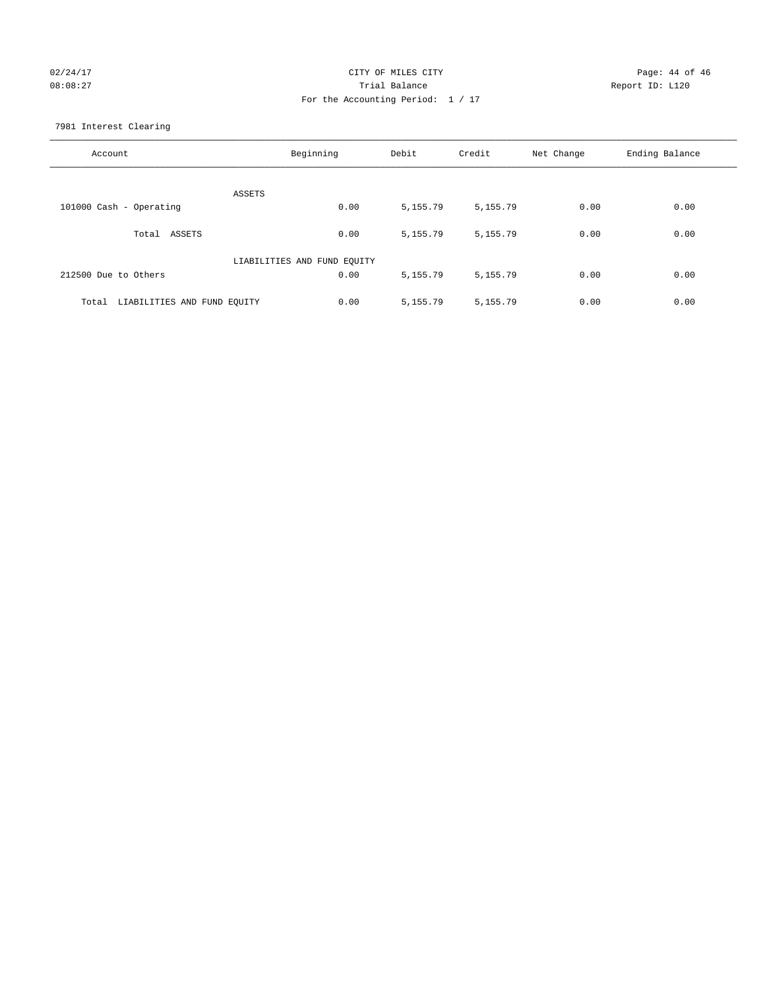# 02/24/17 Page: 44 of 46 08:08:27 Trial Balance Report ID: L120 For the Accounting Period: 1 / 17

7981 Interest Clearing

| Account                              | Beginning                   | Debit    | Credit   | Net Change | Ending Balance |
|--------------------------------------|-----------------------------|----------|----------|------------|----------------|
|                                      | ASSETS                      |          |          |            |                |
| 101000 Cash - Operating              | 0.00                        | 5,155.79 | 5,155.79 | 0.00       | 0.00           |
| Total ASSETS                         | 0.00                        | 5,155.79 | 5,155.79 | 0.00       | 0.00           |
|                                      | LIABILITIES AND FUND EQUITY |          |          |            |                |
| 212500 Due to Others                 | 0.00                        | 5,155.79 | 5,155.79 | 0.00       | 0.00           |
| LIABILITIES AND FUND EQUITY<br>Total | 0.00                        | 5,155.79 | 5,155.79 | 0.00       | 0.00           |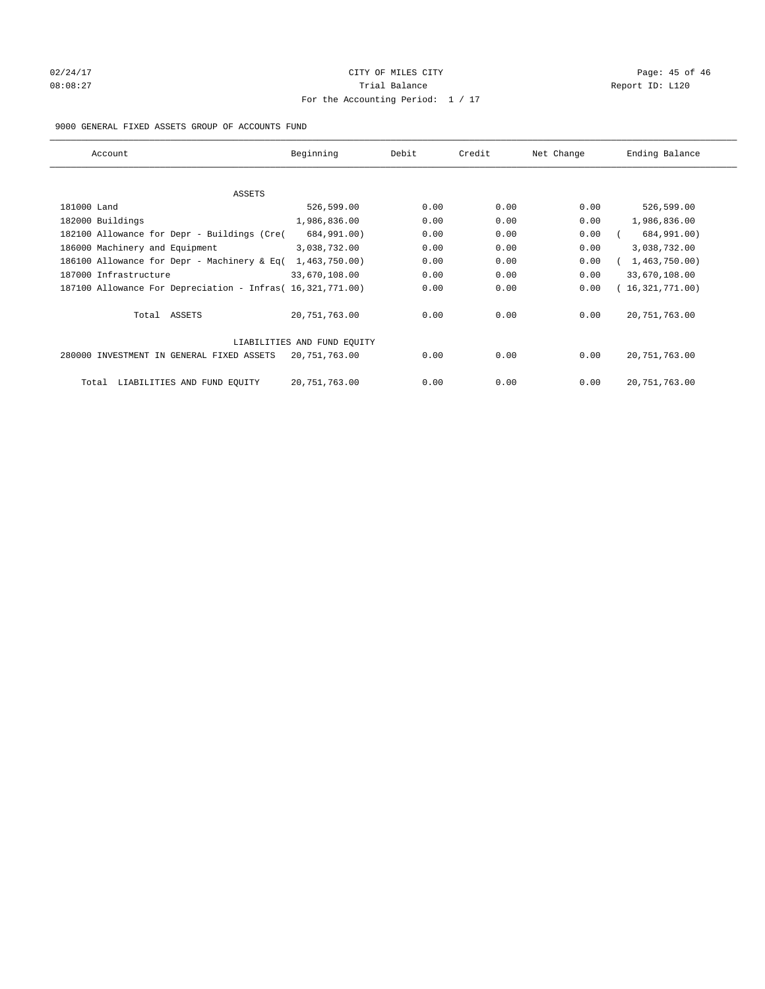# 02/24/17 Page: 45 of 46 Page: 45 of 46 Page: 45 of 46 Page: 45 of 46 Page: 45 of 46 08:08:27 Channel Balance Trial Balance Report ID: L120 For the Accounting Period: 1 / 17

#### 9000 GENERAL FIXED ASSETS GROUP OF ACCOUNTS FUND

| Account                                                    | Beginning                   | Debit | Credit | Net Change | Ending Balance  |
|------------------------------------------------------------|-----------------------------|-------|--------|------------|-----------------|
| ASSETS                                                     |                             |       |        |            |                 |
| 181000 Land                                                | 526,599.00                  | 0.00  | 0.00   | 0.00       | 526,599.00      |
| 182000 Buildings                                           | 1,986,836.00                | 0.00  | 0.00   | 0.00       | 1,986,836.00    |
| 182100 Allowance for Depr - Buildings (Cre(                | 684,991.00)                 | 0.00  | 0.00   | 0.00       | 684,991.00)     |
| 186000 Machinery and Equipment                             | 3,038,732.00                | 0.00  | 0.00   | 0.00       | 3,038,732.00    |
| 186100 Allowance for Depr - Machinery & Eq(                | 1,463,750.00)               | 0.00  | 0.00   | 0.00       | 1,463,750.00)   |
| 187000 Infrastructure                                      | 33,670,108.00               | 0.00  | 0.00   | 0.00       | 33,670,108.00   |
| 187100 Allowance For Depreciation - Infras( 16,321,771.00) |                             | 0.00  | 0.00   | 0.00       | 16,321,771.00)  |
| Total ASSETS                                               | 20,751,763.00               | 0.00  | 0.00   | 0.00       | 20, 751, 763.00 |
|                                                            | LIABILITIES AND FUND EQUITY |       |        |            |                 |
| 280000 INVESTMENT IN GENERAL FIXED ASSETS                  | 20,751,763.00               | 0.00  | 0.00   | 0.00       | 20, 751, 763.00 |
| LIABILITIES AND FUND EQUITY<br>Total                       | 20,751,763.00               | 0.00  | 0.00   | 0.00       | 20, 751, 763.00 |